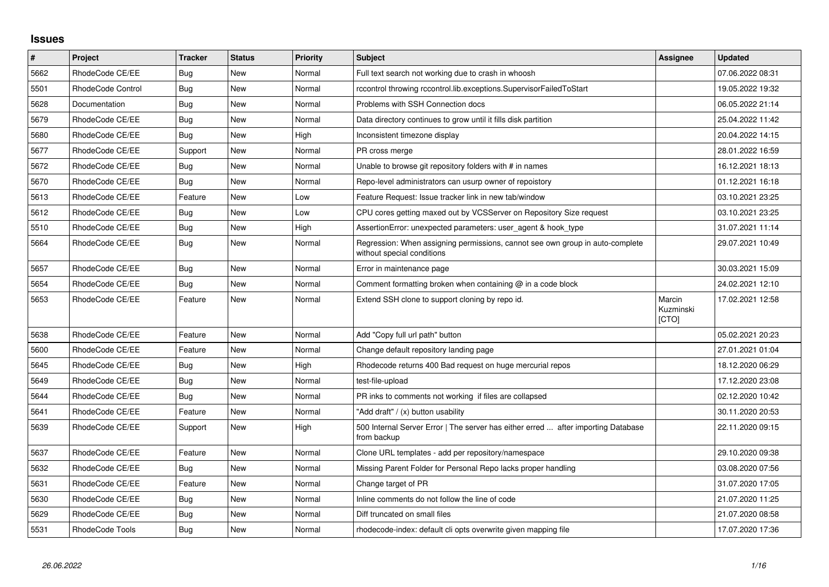## **Issues**

| $\vert$ # | <b>Project</b>    | <b>Tracker</b> | <b>Status</b> | <b>Priority</b> | <b>Subject</b>                                                                                              | Assignee                     | <b>Updated</b>   |
|-----------|-------------------|----------------|---------------|-----------------|-------------------------------------------------------------------------------------------------------------|------------------------------|------------------|
| 5662      | RhodeCode CE/EE   | Bug            | <b>New</b>    | Normal          | Full text search not working due to crash in whoosh                                                         |                              | 07.06.2022 08:31 |
| 5501      | RhodeCode Control | <b>Bug</b>     | <b>New</b>    | Normal          | rccontrol throwing rccontrol.lib.exceptions.SupervisorFailedToStart                                         |                              | 19.05.2022 19:32 |
| 5628      | Documentation     | Bug            | <b>New</b>    | Normal          | Problems with SSH Connection docs                                                                           |                              | 06.05.2022 21:14 |
| 5679      | RhodeCode CE/EE   | Bug            | <b>New</b>    | Normal          | Data directory continues to grow until it fills disk partition                                              |                              | 25.04.2022 11:42 |
| 5680      | RhodeCode CE/EE   | Bug            | <b>New</b>    | High            | Inconsistent timezone display                                                                               |                              | 20.04.2022 14:15 |
| 5677      | RhodeCode CE/EE   | Support        | <b>New</b>    | Normal          | PR cross merge                                                                                              |                              | 28.01.2022 16:59 |
| 5672      | RhodeCode CE/EE   | <b>Bug</b>     | <b>New</b>    | Normal          | Unable to browse git repository folders with # in names                                                     |                              | 16.12.2021 18:13 |
| 5670      | RhodeCode CE/EE   | Bug            | <b>New</b>    | Normal          | Repo-level administrators can usurp owner of repoistory                                                     |                              | 01.12.2021 16:18 |
| 5613      | RhodeCode CE/EE   | Feature        | <b>New</b>    | Low             | Feature Request: Issue tracker link in new tab/window                                                       |                              | 03.10.2021 23:25 |
| 5612      | RhodeCode CE/EE   | Bug            | New           | Low             | CPU cores getting maxed out by VCSServer on Repository Size request                                         |                              | 03.10.2021 23:25 |
| 5510      | RhodeCode CE/EE   | Bug            | New           | High            | AssertionError: unexpected parameters: user agent & hook type                                               |                              | 31.07.2021 11:14 |
| 5664      | RhodeCode CE/EE   | Bug            | New           | Normal          | Regression: When assigning permissions, cannot see own group in auto-complete<br>without special conditions |                              | 29.07.2021 10:49 |
| 5657      | RhodeCode CE/EE   | <b>Bug</b>     | <b>New</b>    | Normal          | Error in maintenance page                                                                                   |                              | 30.03.2021 15:09 |
| 5654      | RhodeCode CE/EE   | Bug            | New           | Normal          | Comment formatting broken when containing $@$ in a code block                                               |                              | 24.02.2021 12:10 |
| 5653      | RhodeCode CE/EE   | Feature        | <b>New</b>    | Normal          | Extend SSH clone to support cloning by repo id.                                                             | Marcin<br>Kuzminski<br>[CTO] | 17.02.2021 12:58 |
| 5638      | RhodeCode CE/EE   | Feature        | <b>New</b>    | Normal          | Add "Copy full url path" button                                                                             |                              | 05.02.2021 20:23 |
| 5600      | RhodeCode CE/EE   | Feature        | <b>New</b>    | Normal          | Change default repository landing page                                                                      |                              | 27.01.2021 01:04 |
| 5645      | RhodeCode CE/EE   | Bug            | <b>New</b>    | High            | Rhodecode returns 400 Bad request on huge mercurial repos                                                   |                              | 18.12.2020 06:29 |
| 5649      | RhodeCode CE/EE   | Bug            | <b>New</b>    | Normal          | test-file-upload                                                                                            |                              | 17.12.2020 23:08 |
| 5644      | RhodeCode CE/EE   | Bug            | <b>New</b>    | Normal          | PR inks to comments not working if files are collapsed                                                      |                              | 02.12.2020 10:42 |
| 5641      | RhodeCode CE/EE   | Feature        | <b>New</b>    | Normal          | "Add draft" / (x) button usability                                                                          |                              | 30.11.2020 20:53 |
| 5639      | RhodeCode CE/EE   | Support        | <b>New</b>    | High            | 500 Internal Server Error   The server has either erred  after importing Database<br>from backup            |                              | 22.11.2020 09:15 |
| 5637      | RhodeCode CE/EE   | Feature        | <b>New</b>    | Normal          | Clone URL templates - add per repository/namespace                                                          |                              | 29.10.2020 09:38 |
| 5632      | RhodeCode CE/EE   | Bug            | <b>New</b>    | Normal          | Missing Parent Folder for Personal Repo lacks proper handling                                               |                              | 03.08.2020 07:56 |
| 5631      | RhodeCode CE/EE   | Feature        | <b>New</b>    | Normal          | Change target of PR                                                                                         |                              | 31.07.2020 17:05 |
| 5630      | RhodeCode CE/EE   | Bug            | <b>New</b>    | Normal          | Inline comments do not follow the line of code                                                              |                              | 21.07.2020 11:25 |
| 5629      | RhodeCode CE/EE   | Bug            | New           | Normal          | Diff truncated on small files                                                                               |                              | 21.07.2020 08:58 |
| 5531      | RhodeCode Tools   | <b>Bug</b>     | <b>New</b>    | Normal          | rhodecode-index: default cli opts overwrite given mapping file                                              |                              | 17.07.2020 17:36 |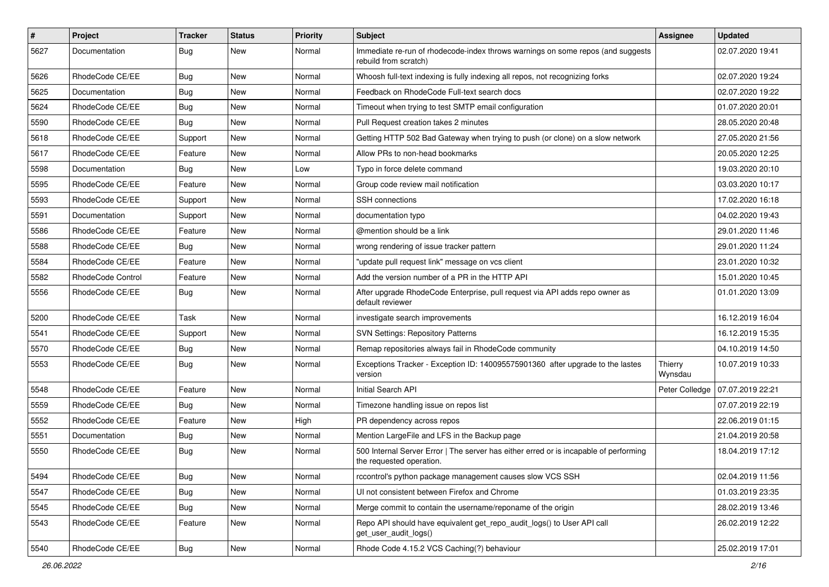| $\sharp$ | Project           | <b>Tracker</b> | <b>Status</b> | <b>Priority</b> | <b>Subject</b>                                                                                                    | <b>Assignee</b>    | <b>Updated</b>   |
|----------|-------------------|----------------|---------------|-----------------|-------------------------------------------------------------------------------------------------------------------|--------------------|------------------|
| 5627     | Documentation     | Bug            | New           | Normal          | Immediate re-run of rhodecode-index throws warnings on some repos (and suggests<br>rebuild from scratch)          |                    | 02.07.2020 19:41 |
| 5626     | RhodeCode CE/EE   | Bug            | <b>New</b>    | Normal          | Whoosh full-text indexing is fully indexing all repos, not recognizing forks                                      |                    | 02.07.2020 19:24 |
| 5625     | Documentation     | Bug            | New           | Normal          | Feedback on RhodeCode Full-text search docs                                                                       |                    | 02.07.2020 19:22 |
| 5624     | RhodeCode CE/EE   | Bug            | <b>New</b>    | Normal          | Timeout when trying to test SMTP email configuration                                                              |                    | 01.07.2020 20:01 |
| 5590     | RhodeCode CE/EE   | Bug            | New           | Normal          | Pull Request creation takes 2 minutes                                                                             |                    | 28.05.2020 20:48 |
| 5618     | RhodeCode CE/EE   | Support        | New           | Normal          | Getting HTTP 502 Bad Gateway when trying to push (or clone) on a slow network                                     |                    | 27.05.2020 21:56 |
| 5617     | RhodeCode CE/EE   | Feature        | <b>New</b>    | Normal          | Allow PRs to non-head bookmarks                                                                                   |                    | 20.05.2020 12:25 |
| 5598     | Documentation     | Bug            | New           | Low             | Typo in force delete command                                                                                      |                    | 19.03.2020 20:10 |
| 5595     | RhodeCode CE/EE   | Feature        | <b>New</b>    | Normal          | Group code review mail notification                                                                               |                    | 03.03.2020 10:17 |
| 5593     | RhodeCode CE/EE   | Support        | New           | Normal          | <b>SSH</b> connections                                                                                            |                    | 17.02.2020 16:18 |
| 5591     | Documentation     | Support        | New           | Normal          | documentation typo                                                                                                |                    | 04.02.2020 19:43 |
| 5586     | RhodeCode CE/EE   | Feature        | <b>New</b>    | Normal          | @mention should be a link                                                                                         |                    | 29.01.2020 11:46 |
| 5588     | RhodeCode CE/EE   | Bug            | New           | Normal          | wrong rendering of issue tracker pattern                                                                          |                    | 29.01.2020 11:24 |
| 5584     | RhodeCode CE/EE   | Feature        | New           | Normal          | "update pull request link" message on vcs client                                                                  |                    | 23.01.2020 10:32 |
| 5582     | RhodeCode Control | Feature        | New           | Normal          | Add the version number of a PR in the HTTP API                                                                    |                    | 15.01.2020 10:45 |
| 5556     | RhodeCode CE/EE   | Bug            | New           | Normal          | After upgrade RhodeCode Enterprise, pull request via API adds repo owner as<br>default reviewer                   |                    | 01.01.2020 13:09 |
| 5200     | RhodeCode CE/EE   | Task           | <b>New</b>    | Normal          | investigate search improvements                                                                                   |                    | 16.12.2019 16:04 |
| 5541     | RhodeCode CE/EE   | Support        | New           | Normal          | <b>SVN Settings: Repository Patterns</b>                                                                          |                    | 16.12.2019 15:35 |
| 5570     | RhodeCode CE/EE   | Bug            | <b>New</b>    | Normal          | Remap repositories always fail in RhodeCode community                                                             |                    | 04.10.2019 14:50 |
| 5553     | RhodeCode CE/EE   | Bug            | New           | Normal          | Exceptions Tracker - Exception ID: 140095575901360 after upgrade to the lastes<br>version                         | Thierry<br>Wynsdau | 10.07.2019 10:33 |
| 5548     | RhodeCode CE/EE   | Feature        | New           | Normal          | Initial Search API                                                                                                | Peter Colledge     | 07.07.2019 22:21 |
| 5559     | RhodeCode CE/EE   | Bug            | <b>New</b>    | Normal          | Timezone handling issue on repos list                                                                             |                    | 07.07.2019 22:19 |
| 5552     | RhodeCode CE/EE   | Feature        | <b>New</b>    | High            | PR dependency across repos                                                                                        |                    | 22.06.2019 01:15 |
| 5551     | Documentation     | Bug            | New           | Normal          | Mention LargeFile and LFS in the Backup page                                                                      |                    | 21.04.2019 20:58 |
| 5550     | RhodeCode CE/EE   | Bug            | New           | Normal          | 500 Internal Server Error   The server has either erred or is incapable of performing<br>the requested operation. |                    | 18.04.2019 17:12 |
| 5494     | RhodeCode CE/EE   | Bug            | New           | Normal          | rccontrol's python package management causes slow VCS SSH                                                         |                    | 02.04.2019 11:56 |
| 5547     | RhodeCode CE/EE   | Bug            | <b>New</b>    | Normal          | UI not consistent between Firefox and Chrome                                                                      |                    | 01.03.2019 23:35 |
| 5545     | RhodeCode CE/EE   | Bug            | New           | Normal          | Merge commit to contain the username/reponame of the origin                                                       |                    | 28.02.2019 13:46 |
| 5543     | RhodeCode CE/EE   | Feature        | New           | Normal          | Repo API should have equivalent get_repo_audit_logs() to User API call<br>get user audit logs()                   |                    | 26.02.2019 12:22 |
| 5540     | RhodeCode CE/EE   | <b>Bug</b>     | New           | Normal          | Rhode Code 4.15.2 VCS Caching(?) behaviour                                                                        |                    | 25.02.2019 17:01 |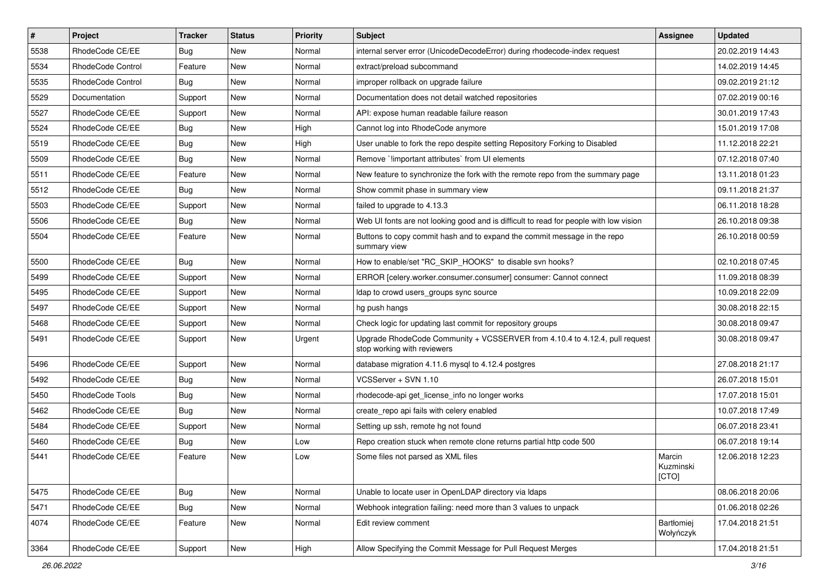| $\pmb{\#}$ | <b>Project</b>           | <b>Tracker</b> | <b>Status</b> | <b>Priority</b> | <b>Subject</b>                                                                                             | <b>Assignee</b>              | <b>Updated</b>   |
|------------|--------------------------|----------------|---------------|-----------------|------------------------------------------------------------------------------------------------------------|------------------------------|------------------|
| 5538       | RhodeCode CE/EE          | Bug            | New           | Normal          | internal server error (UnicodeDecodeError) during rhodecode-index request                                  |                              | 20.02.2019 14:43 |
| 5534       | <b>RhodeCode Control</b> | Feature        | <b>New</b>    | Normal          | extract/preload subcommand                                                                                 |                              | 14.02.2019 14:45 |
| 5535       | RhodeCode Control        | Bug            | New           | Normal          | improper rollback on upgrade failure                                                                       |                              | 09.02.2019 21:12 |
| 5529       | Documentation            | Support        | New           | Normal          | Documentation does not detail watched repositories                                                         |                              | 07.02.2019 00:16 |
| 5527       | RhodeCode CE/EE          | Support        | <b>New</b>    | Normal          | API: expose human readable failure reason                                                                  |                              | 30.01.2019 17:43 |
| 5524       | RhodeCode CE/EE          | Bug            | New           | High            | Cannot log into RhodeCode anymore                                                                          |                              | 15.01.2019 17:08 |
| 5519       | RhodeCode CE/EE          | Bug            | New           | High            | User unable to fork the repo despite setting Repository Forking to Disabled                                |                              | 11.12.2018 22:21 |
| 5509       | RhodeCode CE/EE          | Bug            | New           | Normal          | Remove `limportant attributes` from UI elements                                                            |                              | 07.12.2018 07:40 |
| 5511       | RhodeCode CE/EE          | Feature        | New           | Normal          | New feature to synchronize the fork with the remote repo from the summary page                             |                              | 13.11.2018 01:23 |
| 5512       | RhodeCode CE/EE          | <b>Bug</b>     | <b>New</b>    | Normal          | Show commit phase in summary view                                                                          |                              | 09.11.2018 21:37 |
| 5503       | RhodeCode CE/EE          | Support        | New           | Normal          | failed to upgrade to 4.13.3                                                                                |                              | 06.11.2018 18:28 |
| 5506       | RhodeCode CE/EE          | Bug            | New           | Normal          | Web UI fonts are not looking good and is difficult to read for people with low vision                      |                              | 26.10.2018 09:38 |
| 5504       | RhodeCode CE/EE          | Feature        | New           | Normal          | Buttons to copy commit hash and to expand the commit message in the repo<br>summary view                   |                              | 26.10.2018 00:59 |
| 5500       | RhodeCode CE/EE          | Bug            | <b>New</b>    | Normal          | How to enable/set "RC_SKIP_HOOKS" to disable svn hooks?                                                    |                              | 02.10.2018 07:45 |
| 5499       | RhodeCode CE/EE          | Support        | New           | Normal          | ERROR [celery.worker.consumer.consumer] consumer: Cannot connect                                           |                              | 11.09.2018 08:39 |
| 5495       | RhodeCode CE/EE          | Support        | New           | Normal          | Idap to crowd users groups sync source                                                                     |                              | 10.09.2018 22:09 |
| 5497       | RhodeCode CE/EE          | Support        | <b>New</b>    | Normal          | hg push hangs                                                                                              |                              | 30.08.2018 22:15 |
| 5468       | RhodeCode CE/EE          | Support        | New           | Normal          | Check logic for updating last commit for repository groups                                                 |                              | 30.08.2018 09:47 |
| 5491       | RhodeCode CE/EE          | Support        | New           | Urgent          | Upgrade RhodeCode Community + VCSSERVER from 4.10.4 to 4.12.4, pull request<br>stop working with reviewers |                              | 30.08.2018 09:47 |
| 5496       | RhodeCode CE/EE          | Support        | <b>New</b>    | Normal          | database migration 4.11.6 mysql to 4.12.4 postgres                                                         |                              | 27.08.2018 21:17 |
| 5492       | RhodeCode CE/EE          | Bug            | <b>New</b>    | Normal          | VCSServer + SVN 1.10                                                                                       |                              | 26.07.2018 15:01 |
| 5450       | RhodeCode Tools          | Bug            | New           | Normal          | rhodecode-api get license info no longer works                                                             |                              | 17.07.2018 15:01 |
| 5462       | RhodeCode CE/EE          | <b>Bug</b>     | New           | Normal          | create repo api fails with celery enabled                                                                  |                              | 10.07.2018 17:49 |
| 5484       | RhodeCode CE/EE          | Support        | <b>New</b>    | Normal          | Setting up ssh, remote hg not found                                                                        |                              | 06.07.2018 23:41 |
| 5460       | RhodeCode CE/EE          | Bug            | New           | Low             | Repo creation stuck when remote clone returns partial http code 500                                        |                              | 06.07.2018 19:14 |
| 5441       | RhodeCode CE/EE          | Feature        | New           | Low             | Some files not parsed as XML files                                                                         | Marcin<br>Kuzminski<br>[CTO] | 12.06.2018 12:23 |
| 5475       | RhodeCode CE/EE          | Bug            | New           | Normal          | Unable to locate user in OpenLDAP directory via Idaps                                                      |                              | 08.06.2018 20:06 |
| 5471       | RhodeCode CE/EE          | <b>Bug</b>     | New           | Normal          | Webhook integration failing: need more than 3 values to unpack                                             |                              | 01.06.2018 02:26 |
| 4074       | RhodeCode CE/EE          | Feature        | New           | Normal          | Edit review comment                                                                                        | Bartłomiej<br>Wołyńczyk      | 17.04.2018 21:51 |
| 3364       | RhodeCode CE/EE          | Support        | New           | High            | Allow Specifying the Commit Message for Pull Request Merges                                                |                              | 17.04.2018 21:51 |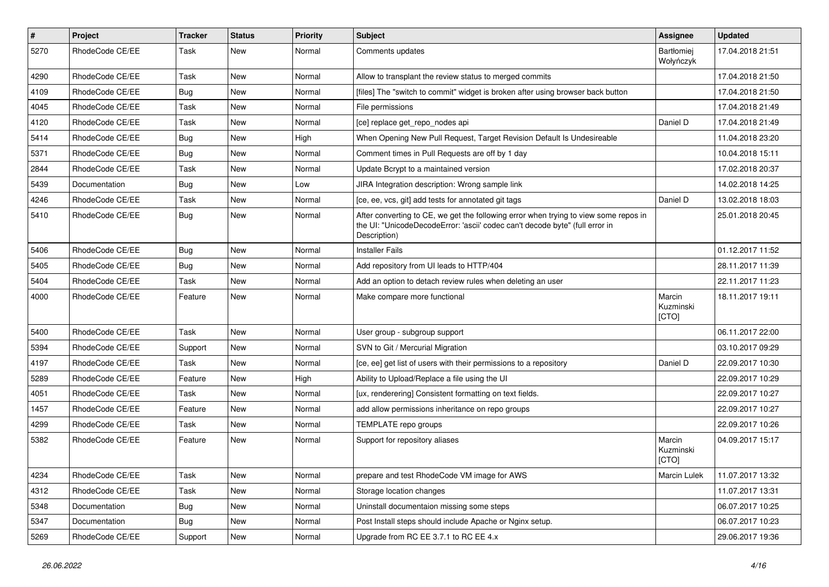| #    | Project         | <b>Tracker</b> | <b>Status</b> | <b>Priority</b> | <b>Subject</b>                                                                                                                                                                       | Assignee                       | <b>Updated</b>   |
|------|-----------------|----------------|---------------|-----------------|--------------------------------------------------------------------------------------------------------------------------------------------------------------------------------------|--------------------------------|------------------|
| 5270 | RhodeCode CE/EE | Task           | New           | Normal          | Comments updates                                                                                                                                                                     | <b>Bartłomiej</b><br>Wołyńczyk | 17.04.2018 21:51 |
| 4290 | RhodeCode CE/EE | Task           | <b>New</b>    | Normal          | Allow to transplant the review status to merged commits                                                                                                                              |                                | 17.04.2018 21:50 |
| 4109 | RhodeCode CE/EE | Bug            | <b>New</b>    | Normal          | [files] The "switch to commit" widget is broken after using browser back button                                                                                                      |                                | 17.04.2018 21:50 |
| 4045 | RhodeCode CE/EE | Task           | <b>New</b>    | Normal          | File permissions                                                                                                                                                                     |                                | 17.04.2018 21:49 |
| 4120 | RhodeCode CE/EE | Task           | New           | Normal          | [ce] replace get repo nodes api                                                                                                                                                      | Daniel D                       | 17.04.2018 21:49 |
| 5414 | RhodeCode CE/EE | Bug            | <b>New</b>    | High            | When Opening New Pull Request, Target Revision Default Is Undesireable                                                                                                               |                                | 11.04.2018 23:20 |
| 5371 | RhodeCode CE/EE | Bug            | New           | Normal          | Comment times in Pull Requests are off by 1 day                                                                                                                                      |                                | 10.04.2018 15:11 |
| 2844 | RhodeCode CE/EE | Task           | New           | Normal          | Update Bcrypt to a maintained version                                                                                                                                                |                                | 17.02.2018 20:37 |
| 5439 | Documentation   | Bug            | <b>New</b>    | Low             | JIRA Integration description: Wrong sample link                                                                                                                                      |                                | 14.02.2018 14:25 |
| 4246 | RhodeCode CE/EE | Task           | New           | Normal          | [ce, ee, vcs, git] add tests for annotated git tags                                                                                                                                  | Daniel D                       | 13.02.2018 18:03 |
| 5410 | RhodeCode CE/EE | Bug            | New           | Normal          | After converting to CE, we get the following error when trying to view some repos in<br>the UI: "UnicodeDecodeError: 'ascii' codec can't decode byte" (full error in<br>Description) |                                | 25.01.2018 20:45 |
| 5406 | RhodeCode CE/EE | Bug            | <b>New</b>    | Normal          | <b>Installer Fails</b>                                                                                                                                                               |                                | 01.12.2017 11:52 |
| 5405 | RhodeCode CE/EE | Bug            | New           | Normal          | Add repository from UI leads to HTTP/404                                                                                                                                             |                                | 28.11.2017 11:39 |
| 5404 | RhodeCode CE/EE | Task           | <b>New</b>    | Normal          | Add an option to detach review rules when deleting an user                                                                                                                           |                                | 22.11.2017 11:23 |
| 4000 | RhodeCode CE/EE | Feature        | <b>New</b>    | Normal          | Make compare more functional                                                                                                                                                         | Marcin<br>Kuzminski<br>[CTO]   | 18.11.2017 19:11 |
| 5400 | RhodeCode CE/EE | Task           | <b>New</b>    | Normal          | User group - subgroup support                                                                                                                                                        |                                | 06.11.2017 22:00 |
| 5394 | RhodeCode CE/EE | Support        | New           | Normal          | SVN to Git / Mercurial Migration                                                                                                                                                     |                                | 03.10.2017 09:29 |
| 4197 | RhodeCode CE/EE | Task           | <b>New</b>    | Normal          | [ce, ee] get list of users with their permissions to a repository                                                                                                                    | Daniel D                       | 22.09.2017 10:30 |
| 5289 | RhodeCode CE/EE | Feature        | New           | High            | Ability to Upload/Replace a file using the UI                                                                                                                                        |                                | 22.09.2017 10:29 |
| 4051 | RhodeCode CE/EE | Task           | New           | Normal          | [ux, renderering] Consistent formatting on text fields.                                                                                                                              |                                | 22.09.2017 10:27 |
| 1457 | RhodeCode CE/EE | Feature        | <b>New</b>    | Normal          | add allow permissions inheritance on repo groups                                                                                                                                     |                                | 22.09.2017 10:27 |
| 4299 | RhodeCode CE/EE | Task           | New           | Normal          | TEMPLATE repo groups                                                                                                                                                                 |                                | 22.09.2017 10:26 |
| 5382 | RhodeCode CE/EE | Feature        | New           | Normal          | Support for repository aliases                                                                                                                                                       | Marcin<br>Kuzminski<br>[CTO]   | 04.09.2017 15:17 |
| 4234 | RhodeCode CE/EE | Task           | New           | Normal          | prepare and test RhodeCode VM image for AWS                                                                                                                                          | Marcin Lulek                   | 11.07.2017 13:32 |
| 4312 | RhodeCode CE/EE | Task           | New           | Normal          | Storage location changes                                                                                                                                                             |                                | 11.07.2017 13:31 |
| 5348 | Documentation   | Bug            | New           | Normal          | Uninstall documentaion missing some steps                                                                                                                                            |                                | 06.07.2017 10:25 |
| 5347 | Documentation   | Bug            | New           | Normal          | Post Install steps should include Apache or Nginx setup.                                                                                                                             |                                | 06.07.2017 10:23 |
| 5269 | RhodeCode CE/EE | Support        | New           | Normal          | Upgrade from RC EE 3.7.1 to RC EE 4.x                                                                                                                                                |                                | 29.06.2017 19:36 |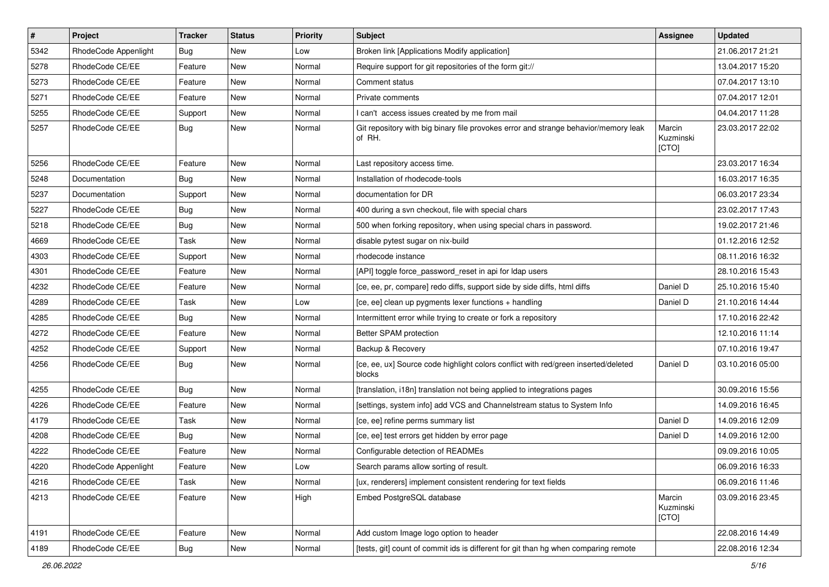| $\pmb{\#}$ | Project              | <b>Tracker</b> | <b>Status</b> | <b>Priority</b> | <b>Subject</b>                                                                                | Assignee                     | <b>Updated</b>   |
|------------|----------------------|----------------|---------------|-----------------|-----------------------------------------------------------------------------------------------|------------------------------|------------------|
| 5342       | RhodeCode Appenlight | Bug            | New           | Low             | Broken link [Applications Modify application]                                                 |                              | 21.06.2017 21:21 |
| 5278       | RhodeCode CE/EE      | Feature        | New           | Normal          | Require support for git repositories of the form git://                                       |                              | 13.04.2017 15:20 |
| 5273       | RhodeCode CE/EE      | Feature        | New           | Normal          | Comment status                                                                                |                              | 07.04.2017 13:10 |
| 5271       | RhodeCode CE/EE      | Feature        | New           | Normal          | Private comments                                                                              |                              | 07.04.2017 12:01 |
| 5255       | RhodeCode CE/EE      | Support        | <b>New</b>    | Normal          | I can't access issues created by me from mail                                                 |                              | 04.04.2017 11:28 |
| 5257       | RhodeCode CE/EE      | Bug            | New           | Normal          | Git repository with big binary file provokes error and strange behavior/memory leak<br>of RH. | Marcin<br>Kuzminski<br>[CTO] | 23.03.2017 22:02 |
| 5256       | RhodeCode CE/EE      | Feature        | <b>New</b>    | Normal          | Last repository access time.                                                                  |                              | 23.03.2017 16:34 |
| 5248       | Documentation        | Bug            | New           | Normal          | Installation of rhodecode-tools                                                               |                              | 16.03.2017 16:35 |
| 5237       | Documentation        | Support        | New           | Normal          | documentation for DR                                                                          |                              | 06.03.2017 23:34 |
| 5227       | RhodeCode CE/EE      | Bug            | New           | Normal          | 400 during a svn checkout, file with special chars                                            |                              | 23.02.2017 17:43 |
| 5218       | RhodeCode CE/EE      | Bug            | <b>New</b>    | Normal          | 500 when forking repository, when using special chars in password.                            |                              | 19.02.2017 21:46 |
| 4669       | RhodeCode CE/EE      | Task           | New           | Normal          | disable pytest sugar on nix-build                                                             |                              | 01.12.2016 12:52 |
| 4303       | RhodeCode CE/EE      | Support        | New           | Normal          | rhodecode instance                                                                            |                              | 08.11.2016 16:32 |
| 4301       | RhodeCode CE/EE      | Feature        | New           | Normal          | [API] toggle force password reset in api for Idap users                                       |                              | 28.10.2016 15:43 |
| 4232       | RhodeCode CE/EE      | Feature        | New           | Normal          | [ce, ee, pr, compare] redo diffs, support side by side diffs, html diffs                      | Daniel D                     | 25.10.2016 15:40 |
| 4289       | RhodeCode CE/EE      | <b>Task</b>    | <b>New</b>    | Low             | [ce, ee] clean up pygments lexer functions + handling                                         | Daniel D                     | 21.10.2016 14:44 |
| 4285       | RhodeCode CE/EE      | Bug            | New           | Normal          | Intermittent error while trying to create or fork a repository                                |                              | 17.10.2016 22:42 |
| 4272       | RhodeCode CE/EE      | Feature        | New           | Normal          | Better SPAM protection                                                                        |                              | 12.10.2016 11:14 |
| 4252       | RhodeCode CE/EE      | Support        | New           | Normal          | Backup & Recovery                                                                             |                              | 07.10.2016 19:47 |
| 4256       | RhodeCode CE/EE      | Bug            | New           | Normal          | [ce, ee, ux] Source code highlight colors conflict with red/green inserted/deleted<br>blocks  | Daniel D                     | 03.10.2016 05:00 |
| 4255       | RhodeCode CE/EE      | Bug            | New           | Normal          | [translation, i18n] translation not being applied to integrations pages                       |                              | 30.09.2016 15:56 |
| 4226       | RhodeCode CE/EE      | Feature        | New           | Normal          | [settings, system info] add VCS and Channelstream status to System Info                       |                              | 14.09.2016 16:45 |
| 4179       | RhodeCode CE/EE      | <b>Task</b>    | <b>New</b>    | Normal          | [ce, ee] refine perms summary list                                                            | Daniel D                     | 14.09.2016 12:09 |
| 4208       | RhodeCode CE/EE      | Bug            | New           | Normal          | [ce, ee] test errors get hidden by error page                                                 | Daniel D                     | 14.09.2016 12:00 |
| 4222       | RhodeCode CE/EE      | Feature        | New           | Normal          | Configurable detection of READMEs                                                             |                              | 09.09.2016 10:05 |
| 4220       | RhodeCode Appenlight | Feature        | New           | Low             | Search params allow sorting of result.                                                        |                              | 06.09.2016 16:33 |
| 4216       | RhodeCode CE/EE      | Task           | New           | Normal          | [ux, renderers] implement consistent rendering for text fields                                |                              | 06.09.2016 11:46 |
| 4213       | RhodeCode CE/EE      | Feature        | New           | High            | Embed PostgreSQL database                                                                     | Marcin<br>Kuzminski<br>[CTO] | 03.09.2016 23:45 |
| 4191       | RhodeCode CE/EE      | Feature        | New           | Normal          | Add custom Image logo option to header                                                        |                              | 22.08.2016 14:49 |
| 4189       | RhodeCode CE/EE      | <b>Bug</b>     | New           | Normal          | [tests, git] count of commit ids is different for git than hg when comparing remote           |                              | 22.08.2016 12:34 |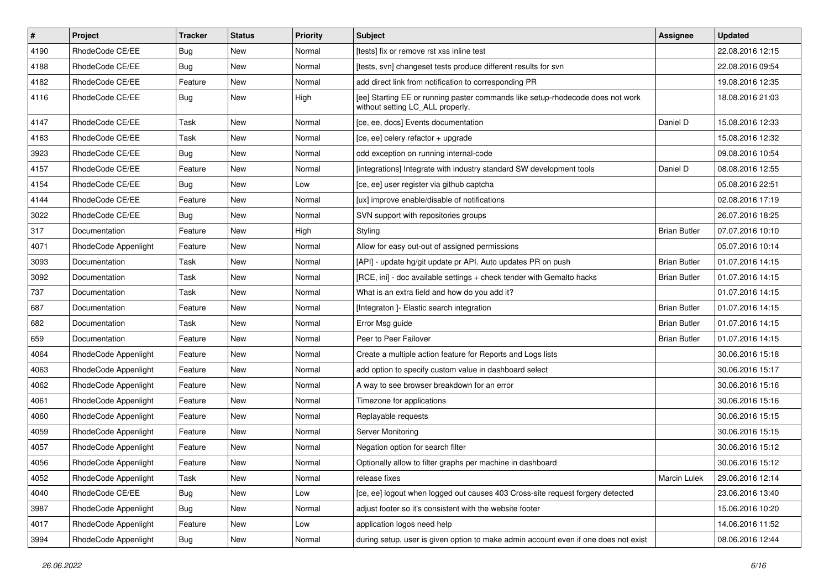| $\pmb{\#}$ | Project              | <b>Tracker</b> | <b>Status</b> | <b>Priority</b> | <b>Subject</b>                                                                                                     | Assignee            | <b>Updated</b>   |
|------------|----------------------|----------------|---------------|-----------------|--------------------------------------------------------------------------------------------------------------------|---------------------|------------------|
| 4190       | RhodeCode CE/EE      | Bug            | New           | Normal          | [tests] fix or remove rst xss inline test                                                                          |                     | 22.08.2016 12:15 |
| 4188       | RhodeCode CE/EE      | Bug            | <b>New</b>    | Normal          | [tests, svn] changeset tests produce different results for svn                                                     |                     | 22.08.2016 09:54 |
| 4182       | RhodeCode CE/EE      | Feature        | New           | Normal          | add direct link from notification to corresponding PR                                                              |                     | 19.08.2016 12:35 |
| 4116       | RhodeCode CE/EE      | Bug            | New           | High            | [ee] Starting EE or running paster commands like setup-rhodecode does not work<br>without setting LC_ALL properly. |                     | 18.08.2016 21:03 |
| 4147       | RhodeCode CE/EE      | Task           | New           | Normal          | [ce, ee, docs] Events documentation                                                                                | Daniel D            | 15.08.2016 12:33 |
| 4163       | RhodeCode CE/EE      | Task           | New           | Normal          | [ce, ee] celery refactor + upgrade                                                                                 |                     | 15.08.2016 12:32 |
| 3923       | RhodeCode CE/EE      | Bug            | New           | Normal          | odd exception on running internal-code                                                                             |                     | 09.08.2016 10:54 |
| 4157       | RhodeCode CE/EE      | Feature        | New           | Normal          | [integrations] Integrate with industry standard SW development tools                                               | Daniel D            | 08.08.2016 12:55 |
| 4154       | RhodeCode CE/EE      | Bug            | <b>New</b>    | Low             | [ce, ee] user register via github captcha                                                                          |                     | 05.08.2016 22:51 |
| 4144       | RhodeCode CE/EE      | Feature        | New           | Normal          | [ux] improve enable/disable of notifications                                                                       |                     | 02.08.2016 17:19 |
| 3022       | RhodeCode CE/EE      | Bug            | New           | Normal          | SVN support with repositories groups                                                                               |                     | 26.07.2016 18:25 |
| 317        | Documentation        | Feature        | <b>New</b>    | High            | Styling                                                                                                            | <b>Brian Butler</b> | 07.07.2016 10:10 |
| 4071       | RhodeCode Appenlight | Feature        | New           | Normal          | Allow for easy out-out of assigned permissions                                                                     |                     | 05.07.2016 10:14 |
| 3093       | Documentation        | Task           | New           | Normal          | [API] - update hg/git update pr API. Auto updates PR on push                                                       | <b>Brian Butler</b> | 01.07.2016 14:15 |
| 3092       | Documentation        | Task           | New           | Normal          | [RCE, ini] - doc available settings + check tender with Gemalto hacks                                              | <b>Brian Butler</b> | 01.07.2016 14:15 |
| 737        | Documentation        | Task           | New           | Normal          | What is an extra field and how do you add it?                                                                      |                     | 01.07.2016 14:15 |
| 687        | Documentation        | Feature        | <b>New</b>    | Normal          | [Integraton] - Elastic search integration                                                                          | <b>Brian Butler</b> | 01.07.2016 14:15 |
| 682        | Documentation        | Task           | New           | Normal          | Error Msg guide                                                                                                    | <b>Brian Butler</b> | 01.07.2016 14:15 |
| 659        | Documentation        | Feature        | New           | Normal          | Peer to Peer Failover                                                                                              | <b>Brian Butler</b> | 01.07.2016 14:15 |
| 4064       | RhodeCode Appenlight | Feature        | New           | Normal          | Create a multiple action feature for Reports and Logs lists                                                        |                     | 30.06.2016 15:18 |
| 4063       | RhodeCode Appenlight | Feature        | New           | Normal          | add option to specify custom value in dashboard select                                                             |                     | 30.06.2016 15:17 |
| 4062       | RhodeCode Appenlight | Feature        | <b>New</b>    | Normal          | A way to see browser breakdown for an error                                                                        |                     | 30.06.2016 15:16 |
| 4061       | RhodeCode Appenlight | Feature        | New           | Normal          | Timezone for applications                                                                                          |                     | 30.06.2016 15:16 |
| 4060       | RhodeCode Appenlight | Feature        | New           | Normal          | Replayable requests                                                                                                |                     | 30.06.2016 15:15 |
| 4059       | RhodeCode Appenlight | Feature        | <b>New</b>    | Normal          | Server Monitoring                                                                                                  |                     | 30.06.2016 15:15 |
| 4057       | RhodeCode Appenlight | Feature        | New           | Normal          | Negation option for search filter                                                                                  |                     | 30.06.2016 15:12 |
| 4056       | RhodeCode Appenlight | Feature        | New           | Normal          | Optionally allow to filter graphs per machine in dashboard                                                         |                     | 30.06.2016 15:12 |
| 4052       | RhodeCode Appenlight | Task           | New           | Normal          | release fixes                                                                                                      | Marcin Lulek        | 29.06.2016 12:14 |
| 4040       | RhodeCode CE/EE      | Bug            | New           | Low             | [ce, ee] logout when logged out causes 403 Cross-site request forgery detected                                     |                     | 23.06.2016 13:40 |
| 3987       | RhodeCode Appenlight | <b>Bug</b>     | New           | Normal          | adjust footer so it's consistent with the website footer                                                           |                     | 15.06.2016 10:20 |
| 4017       | RhodeCode Appenlight | Feature        | New           | Low             | application logos need help                                                                                        |                     | 14.06.2016 11:52 |
| 3994       | RhodeCode Appenlight | <b>Bug</b>     | New           | Normal          | during setup, user is given option to make admin account even if one does not exist                                |                     | 08.06.2016 12:44 |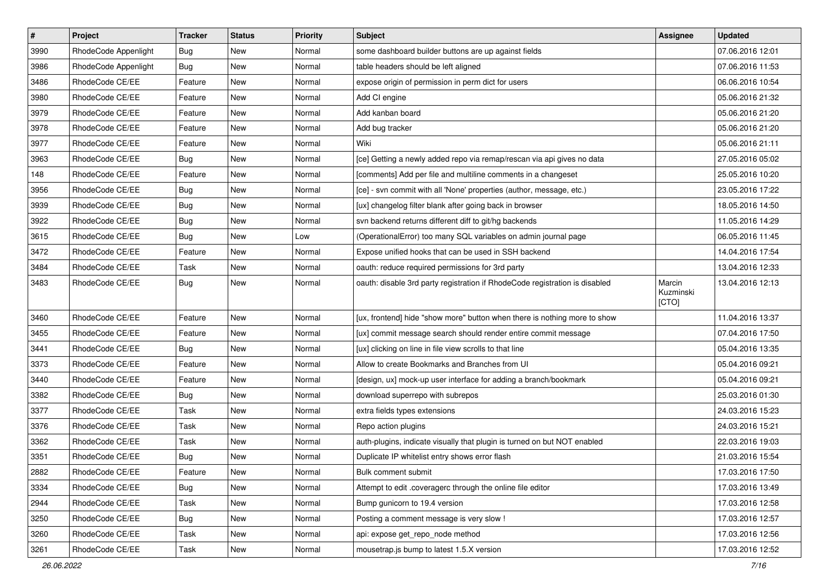| $\sharp$ | Project              | <b>Tracker</b> | <b>Status</b> | Priority | <b>Subject</b>                                                              | <b>Assignee</b>              | <b>Updated</b>   |
|----------|----------------------|----------------|---------------|----------|-----------------------------------------------------------------------------|------------------------------|------------------|
| 3990     | RhodeCode Appenlight | <b>Bug</b>     | New           | Normal   | some dashboard builder buttons are up against fields                        |                              | 07.06.2016 12:01 |
| 3986     | RhodeCode Appenlight | Bug            | <b>New</b>    | Normal   | table headers should be left aligned                                        |                              | 07.06.2016 11:53 |
| 3486     | RhodeCode CE/EE      | Feature        | New           | Normal   | expose origin of permission in perm dict for users                          |                              | 06.06.2016 10:54 |
| 3980     | RhodeCode CE/EE      | Feature        | New           | Normal   | Add CI engine                                                               |                              | 05.06.2016 21:32 |
| 3979     | RhodeCode CE/EE      | Feature        | <b>New</b>    | Normal   | Add kanban board                                                            |                              | 05.06.2016 21:20 |
| 3978     | RhodeCode CE/EE      | Feature        | New           | Normal   | Add bug tracker                                                             |                              | 05.06.2016 21:20 |
| 3977     | RhodeCode CE/EE      | Feature        | New           | Normal   | Wiki                                                                        |                              | 05.06.2016 21:11 |
| 3963     | RhodeCode CE/EE      | Bug            | New           | Normal   | [ce] Getting a newly added repo via remap/rescan via api gives no data      |                              | 27.05.2016 05:02 |
| 148      | RhodeCode CE/EE      | Feature        | <b>New</b>    | Normal   | [comments] Add per file and multiline comments in a changeset               |                              | 25.05.2016 10:20 |
| 3956     | RhodeCode CE/EE      | <b>Bug</b>     | <b>New</b>    | Normal   | [ce] - svn commit with all 'None' properties (author, message, etc.)        |                              | 23.05.2016 17:22 |
| 3939     | RhodeCode CE/EE      | Bug            | New           | Normal   | [ux] changelog filter blank after going back in browser                     |                              | 18.05.2016 14:50 |
| 3922     | RhodeCode CE/EE      | <b>Bug</b>     | New           | Normal   | syn backend returns different diff to git/hg backends                       |                              | 11.05.2016 14:29 |
| 3615     | RhodeCode CE/EE      | <b>Bug</b>     | <b>New</b>    | Low      | (OperationalError) too many SQL variables on admin journal page             |                              | 06.05.2016 11:45 |
| 3472     | RhodeCode CE/EE      | Feature        | <b>New</b>    | Normal   | Expose unified hooks that can be used in SSH backend                        |                              | 14.04.2016 17:54 |
| 3484     | RhodeCode CE/EE      | Task           | New           | Normal   | oauth: reduce required permissions for 3rd party                            |                              | 13.04.2016 12:33 |
| 3483     | RhodeCode CE/EE      | <b>Bug</b>     | New           | Normal   | oauth: disable 3rd party registration if RhodeCode registration is disabled | Marcin<br>Kuzminski<br>[CTO] | 13.04.2016 12:13 |
| 3460     | RhodeCode CE/EE      | Feature        | <b>New</b>    | Normal   | [ux, frontend] hide "show more" button when there is nothing more to show   |                              | 11.04.2016 13:37 |
| 3455     | RhodeCode CE/EE      | Feature        | New           | Normal   | [ux] commit message search should render entire commit message              |                              | 07.04.2016 17:50 |
| 3441     | RhodeCode CE/EE      | Bug            | <b>New</b>    | Normal   | [ux] clicking on line in file view scrolls to that line                     |                              | 05.04.2016 13:35 |
| 3373     | RhodeCode CE/EE      | Feature        | <b>New</b>    | Normal   | Allow to create Bookmarks and Branches from UI                              |                              | 05.04.2016 09:21 |
| 3440     | RhodeCode CE/EE      | Feature        | New           | Normal   | [design, ux] mock-up user interface for adding a branch/bookmark            |                              | 05.04.2016 09:21 |
| 3382     | RhodeCode CE/EE      | <b>Bug</b>     | New           | Normal   | download superrepo with subrepos                                            |                              | 25.03.2016 01:30 |
| 3377     | RhodeCode CE/EE      | Task           | New           | Normal   | extra fields types extensions                                               |                              | 24.03.2016 15:23 |
| 3376     | RhodeCode CE/EE      | Task           | <b>New</b>    | Normal   | Repo action plugins                                                         |                              | 24.03.2016 15:21 |
| 3362     | RhodeCode CE/EE      | Task           | New           | Normal   | auth-plugins, indicate visually that plugin is turned on but NOT enabled    |                              | 22.03.2016 19:03 |
| 3351     | RhodeCode CE/EE      | Bug            | New           | Normal   | Duplicate IP whitelist entry shows error flash                              |                              | 21.03.2016 15:54 |
| 2882     | RhodeCode CE/EE      | Feature        | New           | Normal   | Bulk comment submit                                                         |                              | 17.03.2016 17:50 |
| 3334     | RhodeCode CE/EE      | <b>Bug</b>     | New           | Normal   | Attempt to edit .coveragerc through the online file editor                  |                              | 17.03.2016 13:49 |
| 2944     | RhodeCode CE/EE      | Task           | New           | Normal   | Bump gunicorn to 19.4 version                                               |                              | 17.03.2016 12:58 |
| 3250     | RhodeCode CE/EE      | Bug            | New           | Normal   | Posting a comment message is very slow !                                    |                              | 17.03.2016 12:57 |
| 3260     | RhodeCode CE/EE      | Task           | New           | Normal   | api: expose get_repo_node method                                            |                              | 17.03.2016 12:56 |
| 3261     | RhodeCode CE/EE      | Task           | New           | Normal   | mousetrap.js bump to latest 1.5.X version                                   |                              | 17.03.2016 12:52 |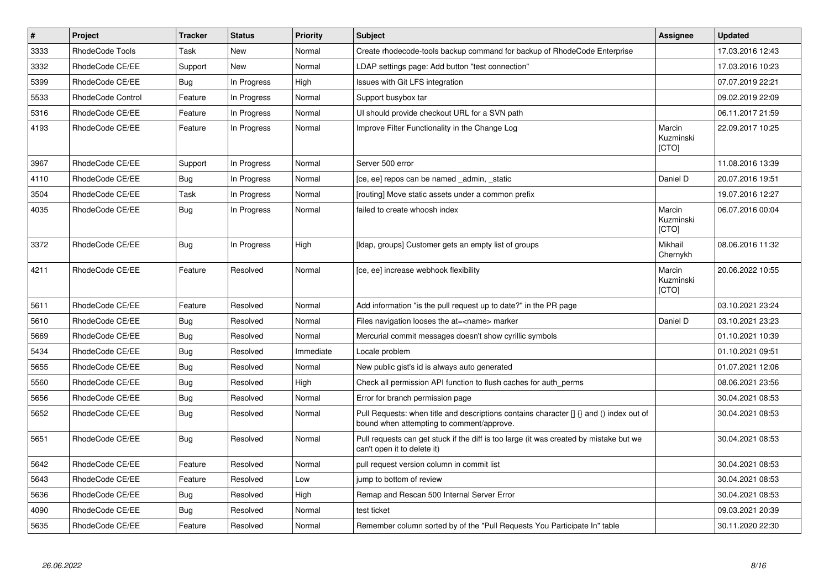| $\vert$ # | Project                  | <b>Tracker</b> | <b>Status</b> | <b>Priority</b> | <b>Subject</b>                                                                                                                       | Assignee                     | <b>Updated</b>   |
|-----------|--------------------------|----------------|---------------|-----------------|--------------------------------------------------------------------------------------------------------------------------------------|------------------------------|------------------|
| 3333      | RhodeCode Tools          | Task           | <b>New</b>    | Normal          | Create rhodecode-tools backup command for backup of RhodeCode Enterprise                                                             |                              | 17.03.2016 12:43 |
| 3332      | RhodeCode CE/EE          | Support        | <b>New</b>    | Normal          | LDAP settings page: Add button "test connection"                                                                                     |                              | 17.03.2016 10:23 |
| 5399      | RhodeCode CE/EE          | Bug            | In Progress   | High            | Issues with Git LFS integration                                                                                                      |                              | 07.07.2019 22:21 |
| 5533      | <b>RhodeCode Control</b> | Feature        | In Progress   | Normal          | Support busybox tar                                                                                                                  |                              | 09.02.2019 22:09 |
| 5316      | RhodeCode CE/EE          | Feature        | In Progress   | Normal          | UI should provide checkout URL for a SVN path                                                                                        |                              | 06.11.2017 21:59 |
| 4193      | RhodeCode CE/EE          | Feature        | In Progress   | Normal          | Improve Filter Functionality in the Change Log                                                                                       | Marcin<br>Kuzminski<br>[CTO] | 22.09.2017 10:25 |
| 3967      | RhodeCode CE/EE          | Support        | In Progress   | Normal          | Server 500 error                                                                                                                     |                              | 11.08.2016 13:39 |
| 4110      | RhodeCode CE/EE          | <b>Bug</b>     | In Progress   | Normal          | [ce, ee] repos can be named _admin, _static                                                                                          | Daniel D                     | 20.07.2016 19:51 |
| 3504      | RhodeCode CE/EE          | Task           | In Progress   | Normal          | [routing] Move static assets under a common prefix                                                                                   |                              | 19.07.2016 12:27 |
| 4035      | RhodeCode CE/EE          | Bug            | In Progress   | Normal          | failed to create whoosh index                                                                                                        | Marcin<br>Kuzminski<br>[CTO] | 06.07.2016 00:04 |
| 3372      | RhodeCode CE/EE          | Bug            | In Progress   | High            | [Idap, groups] Customer gets an empty list of groups                                                                                 | Mikhail<br>Chernykh          | 08.06.2016 11:32 |
| 4211      | RhodeCode CE/EE          | Feature        | Resolved      | Normal          | [ce, ee] increase webhook flexibility                                                                                                | Marcin<br>Kuzminski<br>[CTO] | 20.06.2022 10:55 |
| 5611      | RhodeCode CE/EE          | Feature        | Resolved      | Normal          | Add information "is the pull request up to date?" in the PR page                                                                     |                              | 03.10.2021 23:24 |
| 5610      | RhodeCode CE/EE          | Bug            | Resolved      | Normal          | Files navigation looses the at= <name> marker</name>                                                                                 | Daniel D                     | 03.10.2021 23:23 |
| 5669      | RhodeCode CE/EE          | Bug            | Resolved      | Normal          | Mercurial commit messages doesn't show cyrillic symbols                                                                              |                              | 01.10.2021 10:39 |
| 5434      | RhodeCode CE/EE          | <b>Bug</b>     | Resolved      | Immediate       | Locale problem                                                                                                                       |                              | 01.10.2021 09:51 |
| 5655      | RhodeCode CE/EE          | Bug            | Resolved      | Normal          | New public gist's id is always auto generated                                                                                        |                              | 01.07.2021 12:06 |
| 5560      | RhodeCode CE/EE          | <b>Bug</b>     | Resolved      | High            | Check all permission API function to flush caches for auth perms                                                                     |                              | 08.06.2021 23:56 |
| 5656      | RhodeCode CE/EE          | <b>Bug</b>     | Resolved      | Normal          | Error for branch permission page                                                                                                     |                              | 30.04.2021 08:53 |
| 5652      | RhodeCode CE/EE          | Bug            | Resolved      | Normal          | Pull Requests: when title and descriptions contains character [] {} and () index out of<br>bound when attempting to comment/approve. |                              | 30.04.2021 08:53 |
| 5651      | RhodeCode CE/EE          | Bug            | Resolved      | Normal          | Pull requests can get stuck if the diff is too large (it was created by mistake but we<br>can't open it to delete it)                |                              | 30.04.2021 08:53 |
| 5642      | RhodeCode CE/EE          | Feature        | Resolved      | Normal          | pull request version column in commit list                                                                                           |                              | 30.04.2021 08:53 |
| 5643      | RhodeCode CE/EE          | Feature        | Resolved      | Low             | jump to bottom of review                                                                                                             |                              | 30.04.2021 08:53 |
| 5636      | RhodeCode CE/EE          | Bug            | Resolved      | High            | Remap and Rescan 500 Internal Server Error                                                                                           |                              | 30.04.2021 08:53 |
| 4090      | RhodeCode CE/EE          | Bug            | Resolved      | Normal          | test ticket                                                                                                                          |                              | 09.03.2021 20:39 |
| 5635      | RhodeCode CE/EE          | Feature        | Resolved      | Normal          | Remember column sorted by of the "Pull Requests You Participate In" table                                                            |                              | 30.11.2020 22:30 |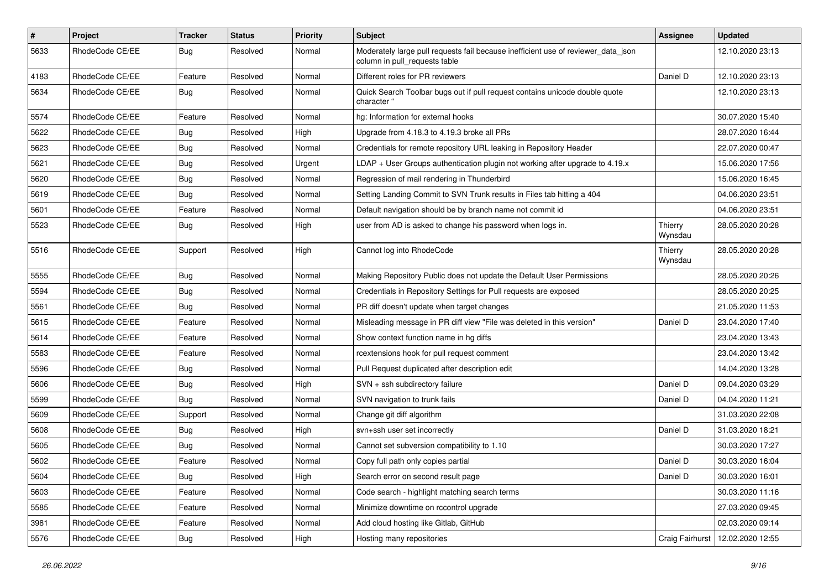| $\pmb{\#}$ | <b>Project</b>  | <b>Tracker</b> | <b>Status</b> | <b>Priority</b> | <b>Subject</b>                                                                                                     | Assignee           | <b>Updated</b>   |
|------------|-----------------|----------------|---------------|-----------------|--------------------------------------------------------------------------------------------------------------------|--------------------|------------------|
| 5633       | RhodeCode CE/EE | <b>Bug</b>     | Resolved      | Normal          | Moderately large pull requests fail because inefficient use of reviewer_data_json<br>column in pull requests table |                    | 12.10.2020 23:13 |
| 4183       | RhodeCode CE/EE | Feature        | Resolved      | Normal          | Different roles for PR reviewers                                                                                   | Daniel D           | 12.10.2020 23:13 |
| 5634       | RhodeCode CE/EE | <b>Bug</b>     | Resolved      | Normal          | Quick Search Toolbar bugs out if pull request contains unicode double quote<br>character "                         |                    | 12.10.2020 23:13 |
| 5574       | RhodeCode CE/EE | Feature        | Resolved      | Normal          | hg: Information for external hooks                                                                                 |                    | 30.07.2020 15:40 |
| 5622       | RhodeCode CE/EE | Bug            | Resolved      | High            | Upgrade from 4.18.3 to 4.19.3 broke all PRs                                                                        |                    | 28.07.2020 16:44 |
| 5623       | RhodeCode CE/EE | Bug            | Resolved      | Normal          | Credentials for remote repository URL leaking in Repository Header                                                 |                    | 22.07.2020 00:47 |
| 5621       | RhodeCode CE/EE | Bug            | Resolved      | Urgent          | LDAP + User Groups authentication plugin not working after upgrade to 4.19.x                                       |                    | 15.06.2020 17:56 |
| 5620       | RhodeCode CE/EE | <b>Bug</b>     | Resolved      | Normal          | Regression of mail rendering in Thunderbird                                                                        |                    | 15.06.2020 16:45 |
| 5619       | RhodeCode CE/EE | <b>Bug</b>     | Resolved      | Normal          | Setting Landing Commit to SVN Trunk results in Files tab hitting a 404                                             |                    | 04.06.2020 23:51 |
| 5601       | RhodeCode CE/EE | Feature        | Resolved      | Normal          | Default navigation should be by branch name not commit id                                                          |                    | 04.06.2020 23:51 |
| 5523       | RhodeCode CE/EE | <b>Bug</b>     | Resolved      | High            | user from AD is asked to change his password when logs in.                                                         | Thierry<br>Wynsdau | 28.05.2020 20:28 |
| 5516       | RhodeCode CE/EE | Support        | Resolved      | High            | Cannot log into RhodeCode                                                                                          | Thierry<br>Wynsdau | 28.05.2020 20:28 |
| 5555       | RhodeCode CE/EE | Bug            | Resolved      | Normal          | Making Repository Public does not update the Default User Permissions                                              |                    | 28.05.2020 20:26 |
| 5594       | RhodeCode CE/EE | Bug            | Resolved      | Normal          | Credentials in Repository Settings for Pull requests are exposed                                                   |                    | 28.05.2020 20:25 |
| 5561       | RhodeCode CE/EE | <b>Bug</b>     | Resolved      | Normal          | PR diff doesn't update when target changes                                                                         |                    | 21.05.2020 11:53 |
| 5615       | RhodeCode CE/EE | Feature        | Resolved      | Normal          | Misleading message in PR diff view "File was deleted in this version"                                              | Daniel D           | 23.04.2020 17:40 |
| 5614       | RhodeCode CE/EE | Feature        | Resolved      | Normal          | Show context function name in hg diffs                                                                             |                    | 23.04.2020 13:43 |
| 5583       | RhodeCode CE/EE | Feature        | Resolved      | Normal          | rcextensions hook for pull request comment                                                                         |                    | 23.04.2020 13:42 |
| 5596       | RhodeCode CE/EE | <b>Bug</b>     | Resolved      | Normal          | Pull Request duplicated after description edit                                                                     |                    | 14.04.2020 13:28 |
| 5606       | RhodeCode CE/EE | <b>Bug</b>     | Resolved      | High            | SVN + ssh subdirectory failure                                                                                     | Daniel D           | 09.04.2020 03:29 |
| 5599       | RhodeCode CE/EE | <b>Bug</b>     | Resolved      | Normal          | SVN navigation to trunk fails                                                                                      | Daniel D           | 04.04.2020 11:21 |
| 5609       | RhodeCode CE/EE | Support        | Resolved      | Normal          | Change git diff algorithm                                                                                          |                    | 31.03.2020 22:08 |
| 5608       | RhodeCode CE/EE | Bug            | Resolved      | High            | svn+ssh user set incorrectly                                                                                       | Daniel D           | 31.03.2020 18:21 |
| 5605       | RhodeCode CE/EE | <b>Bug</b>     | Resolved      | Normal          | Cannot set subversion compatibility to 1.10                                                                        |                    | 30.03.2020 17:27 |
| 5602       | RhodeCode CE/EE | Feature        | Resolved      | Normal          | Copy full path only copies partial                                                                                 | Daniel D           | 30.03.2020 16:04 |
| 5604       | RhodeCode CE/EE | <b>Bug</b>     | Resolved      | High            | Search error on second result page                                                                                 | Daniel D           | 30.03.2020 16:01 |
| 5603       | RhodeCode CE/EE | Feature        | Resolved      | Normal          | Code search - highlight matching search terms                                                                      |                    | 30.03.2020 11:16 |
| 5585       | RhodeCode CE/EE | Feature        | Resolved      | Normal          | Minimize downtime on rccontrol upgrade                                                                             |                    | 27.03.2020 09:45 |
| 3981       | RhodeCode CE/EE | Feature        | Resolved      | Normal          | Add cloud hosting like Gitlab, GitHub                                                                              |                    | 02.03.2020 09:14 |
| 5576       | RhodeCode CE/EE | <b>Bug</b>     | Resolved      | High            | Hosting many repositories                                                                                          | Craig Fairhurst    | 12.02.2020 12:55 |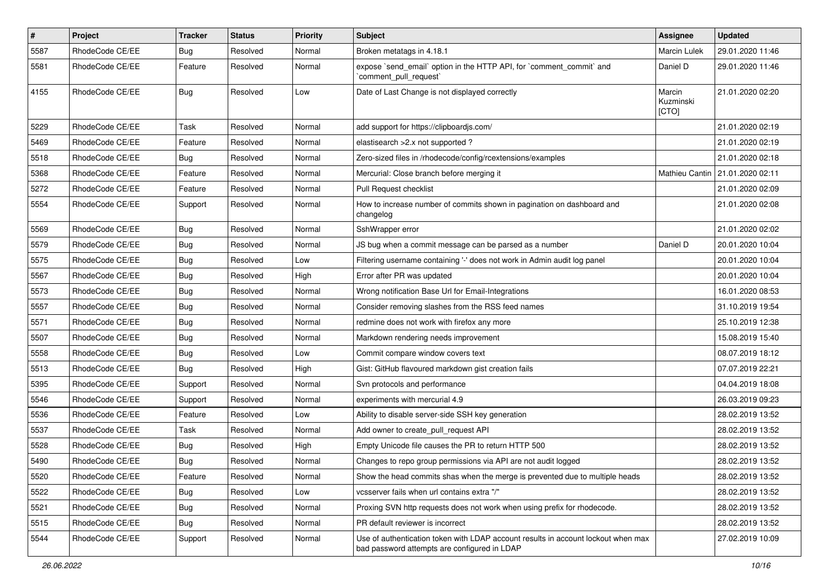| $\pmb{\#}$ | <b>Project</b>  | <b>Tracker</b> | <b>Status</b> | Priority | Subject                                                                                                                           | Assignee                     | <b>Updated</b>                    |
|------------|-----------------|----------------|---------------|----------|-----------------------------------------------------------------------------------------------------------------------------------|------------------------------|-----------------------------------|
| 5587       | RhodeCode CE/EE | <b>Bug</b>     | Resolved      | Normal   | Broken metatags in 4.18.1                                                                                                         | Marcin Lulek                 | 29.01.2020 11:46                  |
| 5581       | RhodeCode CE/EE | Feature        | Resolved      | Normal   | expose `send_email` option in the HTTP API, for `comment_commit` and<br>`comment_pull_request`                                    | Daniel D                     | 29.01.2020 11:46                  |
| 4155       | RhodeCode CE/EE | Bug            | Resolved      | Low      | Date of Last Change is not displayed correctly                                                                                    | Marcin<br>Kuzminski<br>[CTO] | 21.01.2020 02:20                  |
| 5229       | RhodeCode CE/EE | Task           | Resolved      | Normal   | add support for https://clipboardjs.com/                                                                                          |                              | 21.01.2020 02:19                  |
| 5469       | RhodeCode CE/EE | Feature        | Resolved      | Normal   | elastisearch > 2.x not supported ?                                                                                                |                              | 21.01.2020 02:19                  |
| 5518       | RhodeCode CE/EE | <b>Bug</b>     | Resolved      | Normal   | Zero-sized files in /rhodecode/config/rcextensions/examples                                                                       |                              | 21.01.2020 02:18                  |
| 5368       | RhodeCode CE/EE | Feature        | Resolved      | Normal   | Mercurial: Close branch before merging it                                                                                         |                              | Mathieu Cantin   21.01.2020 02:11 |
| 5272       | RhodeCode CE/EE | Feature        | Resolved      | Normal   | Pull Request checklist                                                                                                            |                              | 21.01.2020 02:09                  |
| 5554       | RhodeCode CE/EE | Support        | Resolved      | Normal   | How to increase number of commits shown in pagination on dashboard and<br>changelog                                               |                              | 21.01.2020 02:08                  |
| 5569       | RhodeCode CE/EE | <b>Bug</b>     | Resolved      | Normal   | SshWrapper error                                                                                                                  |                              | 21.01.2020 02:02                  |
| 5579       | RhodeCode CE/EE | Bug            | Resolved      | Normal   | JS bug when a commit message can be parsed as a number                                                                            | Daniel D                     | 20.01.2020 10:04                  |
| 5575       | RhodeCode CE/EE | Bug            | Resolved      | Low      | Filtering username containing '-' does not work in Admin audit log panel                                                          |                              | 20.01.2020 10:04                  |
| 5567       | RhodeCode CE/EE | Bug            | Resolved      | High     | Error after PR was updated                                                                                                        |                              | 20.01.2020 10:04                  |
| 5573       | RhodeCode CE/EE | Bug            | Resolved      | Normal   | Wrong notification Base Url for Email-Integrations                                                                                |                              | 16.01.2020 08:53                  |
| 5557       | RhodeCode CE/EE | Bug            | Resolved      | Normal   | Consider removing slashes from the RSS feed names                                                                                 |                              | 31.10.2019 19:54                  |
| 5571       | RhodeCode CE/EE | <b>Bug</b>     | Resolved      | Normal   | redmine does not work with firefox any more                                                                                       |                              | 25.10.2019 12:38                  |
| 5507       | RhodeCode CE/EE | Bug            | Resolved      | Normal   | Markdown rendering needs improvement                                                                                              |                              | 15.08.2019 15:40                  |
| 5558       | RhodeCode CE/EE | <b>Bug</b>     | Resolved      | Low      | Commit compare window covers text                                                                                                 |                              | 08.07.2019 18:12                  |
| 5513       | RhodeCode CE/EE | <b>Bug</b>     | Resolved      | High     | Gist: GitHub flavoured markdown gist creation fails                                                                               |                              | 07.07.2019 22:21                  |
| 5395       | RhodeCode CE/EE | Support        | Resolved      | Normal   | Svn protocols and performance                                                                                                     |                              | 04.04.2019 18:08                  |
| 5546       | RhodeCode CE/EE | Support        | Resolved      | Normal   | experiments with mercurial 4.9                                                                                                    |                              | 26.03.2019 09:23                  |
| 5536       | RhodeCode CE/EE | Feature        | Resolved      | Low      | Ability to disable server-side SSH key generation                                                                                 |                              | 28.02.2019 13:52                  |
| 5537       | RhodeCode CE/EE | Task           | Resolved      | Normal   | Add owner to create_pull_request API                                                                                              |                              | 28.02.2019 13:52                  |
| 5528       | RhodeCode CE/EE | <b>Bug</b>     | Resolved      | High     | Empty Unicode file causes the PR to return HTTP 500                                                                               |                              | 28.02.2019 13:52                  |
| 5490       | RhodeCode CE/EE | <b>Bug</b>     | Resolved      | Normal   | Changes to repo group permissions via API are not audit logged                                                                    |                              | 28.02.2019 13:52                  |
| 5520       | RhodeCode CE/EE | Feature        | Resolved      | Normal   | Show the head commits shas when the merge is prevented due to multiple heads                                                      |                              | 28.02.2019 13:52                  |
| 5522       | RhodeCode CE/EE | <b>Bug</b>     | Resolved      | Low      | vcsserver fails when url contains extra "/"                                                                                       |                              | 28.02.2019 13:52                  |
| 5521       | RhodeCode CE/EE | <b>Bug</b>     | Resolved      | Normal   | Proxing SVN http requests does not work when using prefix for rhodecode.                                                          |                              | 28.02.2019 13:52                  |
| 5515       | RhodeCode CE/EE | <b>Bug</b>     | Resolved      | Normal   | PR default reviewer is incorrect                                                                                                  |                              | 28.02.2019 13:52                  |
| 5544       | RhodeCode CE/EE | Support        | Resolved      | Normal   | Use of authentication token with LDAP account results in account lockout when max<br>bad password attempts are configured in LDAP |                              | 27.02.2019 10:09                  |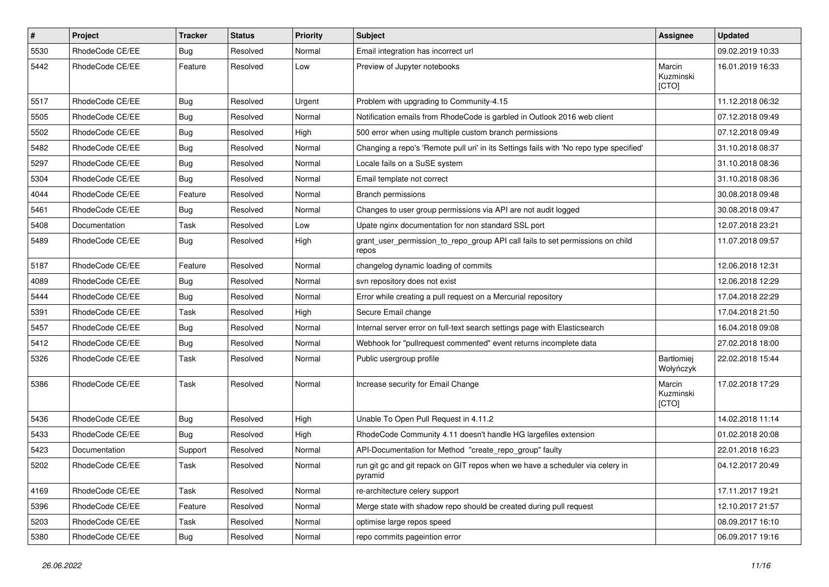| $\pmb{\#}$ | Project         | <b>Tracker</b> | <b>Status</b> | Priority | Subject                                                                                  | Assignee                     | <b>Updated</b>   |
|------------|-----------------|----------------|---------------|----------|------------------------------------------------------------------------------------------|------------------------------|------------------|
| 5530       | RhodeCode CE/EE | <b>Bug</b>     | Resolved      | Normal   | Email integration has incorrect url                                                      |                              | 09.02.2019 10:33 |
| 5442       | RhodeCode CE/EE | Feature        | Resolved      | Low      | Preview of Jupyter notebooks                                                             | Marcin<br>Kuzminski<br>[CTO] | 16.01.2019 16:33 |
| 5517       | RhodeCode CE/EE | Bug            | Resolved      | Urgent   | Problem with upgrading to Community-4.15                                                 |                              | 11.12.2018 06:32 |
| 5505       | RhodeCode CE/EE | <b>Bug</b>     | Resolved      | Normal   | Notification emails from RhodeCode is garbled in Outlook 2016 web client                 |                              | 07.12.2018 09:49 |
| 5502       | RhodeCode CE/EE | Bug            | Resolved      | High     | 500 error when using multiple custom branch permissions                                  |                              | 07.12.2018 09:49 |
| 5482       | RhodeCode CE/EE | Bug            | Resolved      | Normal   | Changing a repo's 'Remote pull uri' in its Settings fails with 'No repo type specified'  |                              | 31.10.2018 08:37 |
| 5297       | RhodeCode CE/EE | Bug            | Resolved      | Normal   | Locale fails on a SuSE system                                                            |                              | 31.10.2018 08:36 |
| 5304       | RhodeCode CE/EE | <b>Bug</b>     | Resolved      | Normal   | Email template not correct                                                               |                              | 31.10.2018 08:36 |
| 4044       | RhodeCode CE/EE | Feature        | Resolved      | Normal   | Branch permissions                                                                       |                              | 30.08.2018 09:48 |
| 5461       | RhodeCode CE/EE | <b>Bug</b>     | Resolved      | Normal   | Changes to user group permissions via API are not audit logged                           |                              | 30.08.2018 09:47 |
| 5408       | Documentation   | Task           | Resolved      | Low      | Upate nginx documentation for non standard SSL port                                      |                              | 12.07.2018 23:21 |
| 5489       | RhodeCode CE/EE | Bug            | Resolved      | High     | grant_user_permission_to_repo_group API call fails to set permissions on child<br>repos  |                              | 11.07.2018 09:57 |
| 5187       | RhodeCode CE/EE | Feature        | Resolved      | Normal   | changelog dynamic loading of commits                                                     |                              | 12.06.2018 12:31 |
| 4089       | RhodeCode CE/EE | Bug            | Resolved      | Normal   | svn repository does not exist                                                            |                              | 12.06.2018 12:29 |
| 5444       | RhodeCode CE/EE | Bug            | Resolved      | Normal   | Error while creating a pull request on a Mercurial repository                            |                              | 17.04.2018 22:29 |
| 5391       | RhodeCode CE/EE | Task           | Resolved      | High     | Secure Email change                                                                      |                              | 17.04.2018 21:50 |
| 5457       | RhodeCode CE/EE | Bug            | Resolved      | Normal   | Internal server error on full-text search settings page with Elasticsearch               |                              | 16.04.2018 09:08 |
| 5412       | RhodeCode CE/EE | Bug            | Resolved      | Normal   | Webhook for "pullrequest commented" event returns incomplete data                        |                              | 27.02.2018 18:00 |
| 5326       | RhodeCode CE/EE | Task           | Resolved      | Normal   | Public usergroup profile                                                                 | Bartłomiej<br>Wołyńczyk      | 22.02.2018 15:44 |
| 5386       | RhodeCode CE/EE | Task           | Resolved      | Normal   | Increase security for Email Change                                                       | Marcin<br>Kuzminski<br>[CTO] | 17.02.2018 17:29 |
| 5436       | RhodeCode CE/EE | <b>Bug</b>     | Resolved      | High     | Unable To Open Pull Request in 4.11.2                                                    |                              | 14.02.2018 11:14 |
| 5433       | RhodeCode CE/EE | <b>Bug</b>     | Resolved      | High     | RhodeCode Community 4.11 doesn't handle HG largefiles extension                          |                              | 01.02.2018 20:08 |
| 5423       | Documentation   | Support        | Resolved      | Normal   | API-Documentation for Method "create_repo_group" faulty                                  |                              | 22.01.2018 16:23 |
| 5202       | RhodeCode CE/EE | Task           | Resolved      | Normal   | run git gc and git repack on GIT repos when we have a scheduler via celery in<br>pyramid |                              | 04.12.2017 20:49 |
| 4169       | RhodeCode CE/EE | Task           | Resolved      | Normal   | re-architecture celery support                                                           |                              | 17.11.2017 19:21 |
| 5396       | RhodeCode CE/EE | Feature        | Resolved      | Normal   | Merge state with shadow repo should be created during pull request                       |                              | 12.10.2017 21:57 |
| 5203       | RhodeCode CE/EE | Task           | Resolved      | Normal   | optimise large repos speed                                                               |                              | 08.09.2017 16:10 |
| 5380       | RhodeCode CE/EE | Bug            | Resolved      | Normal   | repo commits pageintion error                                                            |                              | 06.09.2017 19:16 |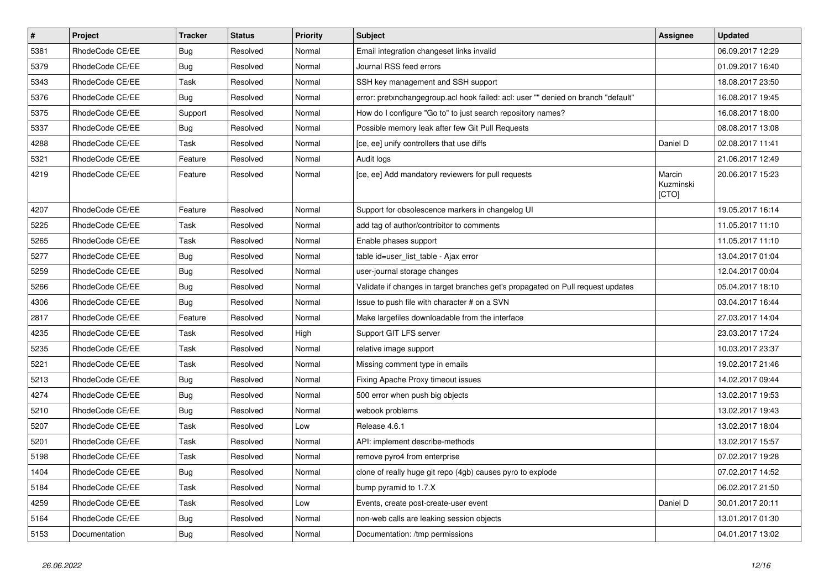| $\overline{\boldsymbol{H}}$ | Project         | <b>Tracker</b> | <b>Status</b> | <b>Priority</b> | <b>Subject</b>                                                                    | Assignee                     | <b>Updated</b>   |
|-----------------------------|-----------------|----------------|---------------|-----------------|-----------------------------------------------------------------------------------|------------------------------|------------------|
| 5381                        | RhodeCode CE/EE | <b>Bug</b>     | Resolved      | Normal          | Email integration changeset links invalid                                         |                              | 06.09.2017 12:29 |
| 5379                        | RhodeCode CE/EE | Bug            | Resolved      | Normal          | Journal RSS feed errors                                                           |                              | 01.09.2017 16:40 |
| 5343                        | RhodeCode CE/EE | Task           | Resolved      | Normal          | SSH key management and SSH support                                                |                              | 18.08.2017 23:50 |
| 5376                        | RhodeCode CE/EE | <b>Bug</b>     | Resolved      | Normal          | error: pretxnchangegroup.acl hook failed: acl: user "" denied on branch "default" |                              | 16.08.2017 19:45 |
| 5375                        | RhodeCode CE/EE | Support        | Resolved      | Normal          | How do I configure "Go to" to just search repository names?                       |                              | 16.08.2017 18:00 |
| 5337                        | RhodeCode CE/EE | Bug            | Resolved      | Normal          | Possible memory leak after few Git Pull Requests                                  |                              | 08.08.2017 13:08 |
| 4288                        | RhodeCode CE/EE | Task           | Resolved      | Normal          | [ce, ee] unify controllers that use diffs                                         | Daniel D                     | 02.08.2017 11:41 |
| 5321                        | RhodeCode CE/EE | Feature        | Resolved      | Normal          | Audit logs                                                                        |                              | 21.06.2017 12:49 |
| 4219                        | RhodeCode CE/EE | Feature        | Resolved      | Normal          | [ce, ee] Add mandatory reviewers for pull requests                                | Marcin<br>Kuzminski<br>[CTO] | 20.06.2017 15:23 |
| 4207                        | RhodeCode CE/EE | Feature        | Resolved      | Normal          | Support for obsolescence markers in changelog UI                                  |                              | 19.05.2017 16:14 |
| 5225                        | RhodeCode CE/EE | Task           | Resolved      | Normal          | add tag of author/contribitor to comments                                         |                              | 11.05.2017 11:10 |
| 5265                        | RhodeCode CE/EE | Task           | Resolved      | Normal          | Enable phases support                                                             |                              | 11.05.2017 11:10 |
| 5277                        | RhodeCode CE/EE | Bug            | Resolved      | Normal          | table id=user_list_table - Ajax error                                             |                              | 13.04.2017 01:04 |
| 5259                        | RhodeCode CE/EE | Bug            | Resolved      | Normal          | user-journal storage changes                                                      |                              | 12.04.2017 00:04 |
| 5266                        | RhodeCode CE/EE | Bug            | Resolved      | Normal          | Validate if changes in target branches get's propagated on Pull request updates   |                              | 05.04.2017 18:10 |
| 4306                        | RhodeCode CE/EE | Bug            | Resolved      | Normal          | Issue to push file with character # on a SVN                                      |                              | 03.04.2017 16:44 |
| 2817                        | RhodeCode CE/EE | Feature        | Resolved      | Normal          | Make largefiles downloadable from the interface                                   |                              | 27.03.2017 14:04 |
| 4235                        | RhodeCode CE/EE | Task           | Resolved      | High            | Support GIT LFS server                                                            |                              | 23.03.2017 17:24 |
| 5235                        | RhodeCode CE/EE | Task           | Resolved      | Normal          | relative image support                                                            |                              | 10.03.2017 23:37 |
| 5221                        | RhodeCode CE/EE | Task           | Resolved      | Normal          | Missing comment type in emails                                                    |                              | 19.02.2017 21:46 |
| 5213                        | RhodeCode CE/EE | Bug            | Resolved      | Normal          | Fixing Apache Proxy timeout issues                                                |                              | 14.02.2017 09:44 |
| 4274                        | RhodeCode CE/EE | Bug            | Resolved      | Normal          | 500 error when push big objects                                                   |                              | 13.02.2017 19:53 |
| 5210                        | RhodeCode CE/EE | Bug            | Resolved      | Normal          | webook problems                                                                   |                              | 13.02.2017 19:43 |
| 5207                        | RhodeCode CE/EE | Task           | Resolved      | Low             | Release 4.6.1                                                                     |                              | 13.02.2017 18:04 |
| 5201                        | RhodeCode CE/EE | Task           | Resolved      | Normal          | API: implement describe-methods                                                   |                              | 13.02.2017 15:57 |
| 5198                        | RhodeCode CE/EE | Task           | Resolved      | Normal          | remove pyro4 from enterprise                                                      |                              | 07.02.2017 19:28 |
| 1404                        | RhodeCode CE/EE | Bug            | Resolved      | Normal          | clone of really huge git repo (4gb) causes pyro to explode                        |                              | 07.02.2017 14:52 |
| 5184                        | RhodeCode CE/EE | Task           | Resolved      | Normal          | bump pyramid to 1.7.X                                                             |                              | 06.02.2017 21:50 |
| 4259                        | RhodeCode CE/EE | Task           | Resolved      | Low             | Events, create post-create-user event                                             | Daniel D                     | 30.01.2017 20:11 |
| 5164                        | RhodeCode CE/EE | <b>Bug</b>     | Resolved      | Normal          | non-web calls are leaking session objects                                         |                              | 13.01.2017 01:30 |
| 5153                        | Documentation   | <b>Bug</b>     | Resolved      | Normal          | Documentation: /tmp permissions                                                   |                              | 04.01.2017 13:02 |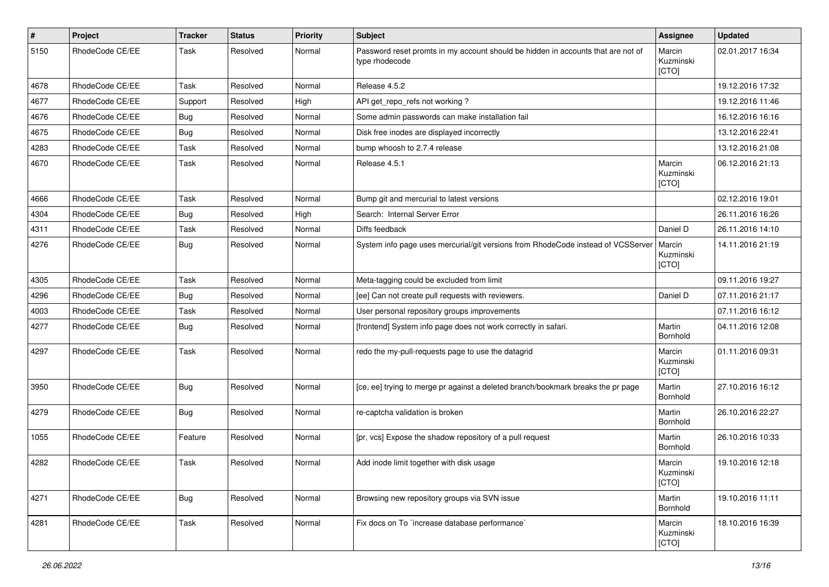| $\pmb{\#}$ | Project         | <b>Tracker</b> | <b>Status</b> | <b>Priority</b> | Subject                                                                                            | Assignee                     | <b>Updated</b>   |
|------------|-----------------|----------------|---------------|-----------------|----------------------------------------------------------------------------------------------------|------------------------------|------------------|
| 5150       | RhodeCode CE/EE | Task           | Resolved      | Normal          | Password reset promts in my account should be hidden in accounts that are not of<br>type rhodecode | Marcin<br>Kuzminski<br>[CTO] | 02.01.2017 16:34 |
| 4678       | RhodeCode CE/EE | Task           | Resolved      | Normal          | Release 4.5.2                                                                                      |                              | 19.12.2016 17:32 |
| 4677       | RhodeCode CE/EE | Support        | Resolved      | High            | API get_repo_refs not working?                                                                     |                              | 19.12.2016 11:46 |
| 4676       | RhodeCode CE/EE | Bug            | Resolved      | Normal          | Some admin passwords can make installation fail                                                    |                              | 16.12.2016 16:16 |
| 4675       | RhodeCode CE/EE | Bug            | Resolved      | Normal          | Disk free inodes are displayed incorrectly                                                         |                              | 13.12.2016 22:41 |
| 4283       | RhodeCode CE/EE | Task           | Resolved      | Normal          | bump whoosh to 2.7.4 release                                                                       |                              | 13.12.2016 21:08 |
| 4670       | RhodeCode CE/EE | Task           | Resolved      | Normal          | Release 4.5.1                                                                                      | Marcin<br>Kuzminski<br>[CTO] | 06.12.2016 21:13 |
| 4666       | RhodeCode CE/EE | Task           | Resolved      | Normal          | Bump git and mercurial to latest versions                                                          |                              | 02.12.2016 19:01 |
| 4304       | RhodeCode CE/EE | Bug            | Resolved      | High            | Search: Internal Server Error                                                                      |                              | 26.11.2016 16:26 |
| 4311       | RhodeCode CE/EE | Task           | Resolved      | Normal          | Diffs feedback                                                                                     | Daniel D                     | 26.11.2016 14:10 |
| 4276       | RhodeCode CE/EE | Bug            | Resolved      | Normal          | System info page uses mercurial/git versions from RhodeCode instead of VCSServer                   | Marcin<br>Kuzminski<br>[CTO] | 14.11.2016 21:19 |
| 4305       | RhodeCode CE/EE | Task           | Resolved      | Normal          | Meta-tagging could be excluded from limit                                                          |                              | 09.11.2016 19:27 |
| 4296       | RhodeCode CE/EE | Bug            | Resolved      | Normal          | [ee] Can not create pull requests with reviewers.                                                  | Daniel D                     | 07.11.2016 21:17 |
| 4003       | RhodeCode CE/EE | Task           | Resolved      | Normal          | User personal repository groups improvements                                                       |                              | 07.11.2016 16:12 |
| 4277       | RhodeCode CE/EE | Bug            | Resolved      | Normal          | [frontend] System info page does not work correctly in safari.                                     | Martin<br>Bornhold           | 04.11.2016 12:08 |
| 4297       | RhodeCode CE/EE | Task           | Resolved      | Normal          | redo the my-pull-requests page to use the datagrid                                                 | Marcin<br>Kuzminski<br>[CTO] | 01.11.2016 09:31 |
| 3950       | RhodeCode CE/EE | <b>Bug</b>     | Resolved      | Normal          | [ce, ee] trying to merge pr against a deleted branch/bookmark breaks the pr page                   | Martin<br>Bornhold           | 27.10.2016 16:12 |
| 4279       | RhodeCode CE/EE | <b>Bug</b>     | Resolved      | Normal          | re-captcha validation is broken                                                                    | Martin<br>Bornhold           | 26.10.2016 22:27 |
| 1055       | RhodeCode CE/EE | Feature        | Resolved      | Normal          | [pr, vcs] Expose the shadow repository of a pull request                                           | Martin<br>Bornhold           | 26.10.2016 10:33 |
| 4282       | RhodeCode CE/EE | Task           | Resolved      | Normal          | Add inode limit together with disk usage                                                           | Marcin<br>Kuzminski<br>[CTO] | 19.10.2016 12:18 |
| 4271       | RhodeCode CE/EE | Bug            | Resolved      | Normal          | Browsing new repository groups via SVN issue                                                       | Martin<br>Bornhold           | 19.10.2016 11:11 |
| 4281       | RhodeCode CE/EE | Task           | Resolved      | Normal          | Fix docs on To `increase database performance`                                                     | Marcin<br>Kuzminski<br>[CTO] | 18.10.2016 16:39 |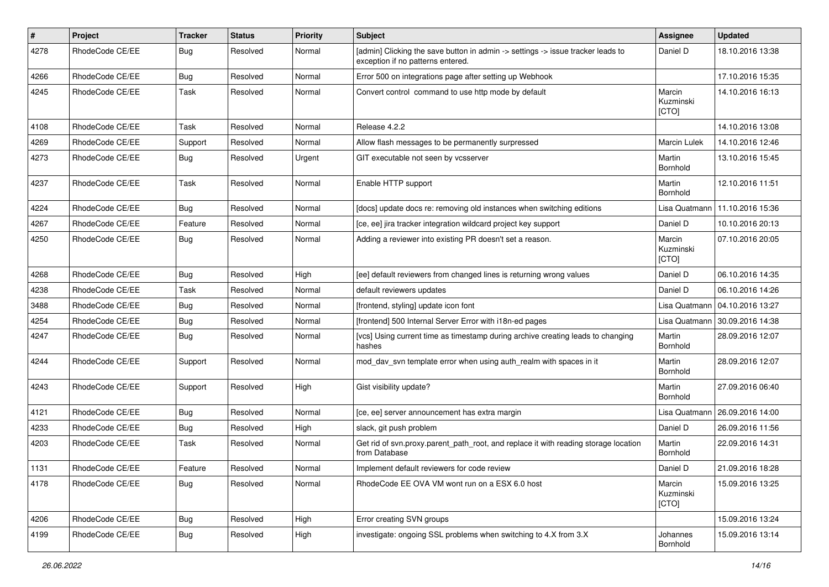| #    | Project         | <b>Tracker</b> | <b>Status</b> | <b>Priority</b> | Subject                                                                                                              | <b>Assignee</b>              | <b>Updated</b>   |
|------|-----------------|----------------|---------------|-----------------|----------------------------------------------------------------------------------------------------------------------|------------------------------|------------------|
| 4278 | RhodeCode CE/EE | Bug            | Resolved      | Normal          | [admin] Clicking the save button in admin -> settings -> issue tracker leads to<br>exception if no patterns entered. | Daniel D                     | 18.10.2016 13:38 |
| 4266 | RhodeCode CE/EE | Bug            | Resolved      | Normal          | Error 500 on integrations page after setting up Webhook                                                              |                              | 17.10.2016 15:35 |
| 4245 | RhodeCode CE/EE | Task           | Resolved      | Normal          | Convert control command to use http mode by default                                                                  | Marcin<br>Kuzminski<br>[CTO] | 14.10.2016 16:13 |
| 4108 | RhodeCode CE/EE | Task           | Resolved      | Normal          | Release 4.2.2                                                                                                        |                              | 14.10.2016 13:08 |
| 4269 | RhodeCode CE/EE | Support        | Resolved      | Normal          | Allow flash messages to be permanently surpressed                                                                    | <b>Marcin Lulek</b>          | 14.10.2016 12:46 |
| 4273 | RhodeCode CE/EE | <b>Bug</b>     | Resolved      | Urgent          | GIT executable not seen by vcsserver                                                                                 | Martin<br>Bornhold           | 13.10.2016 15:45 |
| 4237 | RhodeCode CE/EE | Task           | Resolved      | Normal          | Enable HTTP support                                                                                                  | Martin<br>Bornhold           | 12.10.2016 11:51 |
| 4224 | RhodeCode CE/EE | Bug            | Resolved      | Normal          | [docs] update docs re: removing old instances when switching editions                                                | Lisa Quatmann                | 11.10.2016 15:36 |
| 4267 | RhodeCode CE/EE | Feature        | Resolved      | Normal          | [ce, ee] jira tracker integration wildcard project key support                                                       | Daniel D                     | 10.10.2016 20:13 |
| 4250 | RhodeCode CE/EE | Bug            | Resolved      | Normal          | Adding a reviewer into existing PR doesn't set a reason.                                                             | Marcin<br>Kuzminski<br>[CTO] | 07.10.2016 20:05 |
| 4268 | RhodeCode CE/EE | Bug            | Resolved      | High            | [ee] default reviewers from changed lines is returning wrong values                                                  | Daniel D                     | 06.10.2016 14:35 |
| 4238 | RhodeCode CE/EE | Task           | Resolved      | Normal          | default reviewers updates                                                                                            | Daniel D                     | 06.10.2016 14:26 |
| 3488 | RhodeCode CE/EE | Bug            | Resolved      | Normal          | [frontend, styling] update icon font                                                                                 | Lisa Quatmann                | 04.10.2016 13:27 |
| 4254 | RhodeCode CE/EE | Bug            | Resolved      | Normal          | [frontend] 500 Internal Server Error with i18n-ed pages                                                              | Lisa Quatmann                | 30.09.2016 14:38 |
| 4247 | RhodeCode CE/EE | Bug            | Resolved      | Normal          | [vcs] Using current time as timestamp during archive creating leads to changing<br>hashes                            | Martin<br>Bornhold           | 28.09.2016 12:07 |
| 4244 | RhodeCode CE/EE | Support        | Resolved      | Normal          | mod_dav_svn template error when using auth_realm with spaces in it                                                   | Martin<br>Bornhold           | 28.09.2016 12:07 |
| 4243 | RhodeCode CE/EE | Support        | Resolved      | High            | Gist visibility update?                                                                                              | Martin<br>Bornhold           | 27.09.2016 06:40 |
| 4121 | RhodeCode CE/EE | Bug            | Resolved      | Normal          | [ce, ee] server announcement has extra margin                                                                        | Lisa Quatmann                | 26.09.2016 14:00 |
| 4233 | RhodeCode CE/EE | Bug            | Resolved      | High            | slack, git push problem                                                                                              | Daniel D                     | 26.09.2016 11:56 |
| 4203 | RhodeCode CE/EE | Task           | Resolved      | Normal          | Get rid of svn.proxy.parent_path_root, and replace it with reading storage location<br>from Database                 | Martin<br>Bornhold           | 22.09.2016 14:31 |
| 1131 | RhodeCode CE/EE | Feature        | Resolved      | Normal          | Implement default reviewers for code review                                                                          | Daniel D                     | 21.09.2016 18:28 |
| 4178 | RhodeCode CE/EE | Bug            | Resolved      | Normal          | RhodeCode EE OVA VM wont run on a ESX 6.0 host                                                                       | Marcin<br>Kuzminski<br>[CTO] | 15.09.2016 13:25 |
| 4206 | RhodeCode CE/EE | <b>Bug</b>     | Resolved      | High            | Error creating SVN groups                                                                                            |                              | 15.09.2016 13:24 |
| 4199 | RhodeCode CE/EE | Bug            | Resolved      | High            | investigate: ongoing SSL problems when switching to 4.X from 3.X                                                     | Johannes<br>Bornhold         | 15.09.2016 13:14 |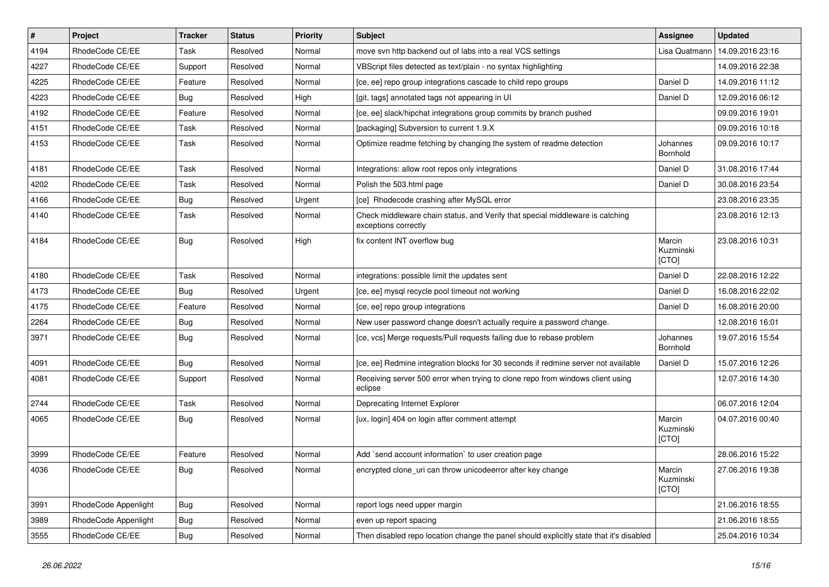| $\pmb{\#}$ | Project              | <b>Tracker</b> | <b>Status</b> | <b>Priority</b> | <b>Subject</b>                                                                                        | Assignee                     | <b>Updated</b>   |
|------------|----------------------|----------------|---------------|-----------------|-------------------------------------------------------------------------------------------------------|------------------------------|------------------|
| 4194       | RhodeCode CE/EE      | Task           | Resolved      | Normal          | move svn http backend out of labs into a real VCS settings                                            | Lisa Quatmann                | 14.09.2016 23:16 |
| 4227       | RhodeCode CE/EE      | Support        | Resolved      | Normal          | VBScript files detected as text/plain - no syntax highlighting                                        |                              | 14.09.2016 22:38 |
| 4225       | RhodeCode CE/EE      | Feature        | Resolved      | Normal          | [ce, ee] repo group integrations cascade to child repo groups                                         | Daniel D                     | 14.09.2016 11:12 |
| 4223       | RhodeCode CE/EE      | <b>Bug</b>     | Resolved      | High            | [git, tags] annotated tags not appearing in UI                                                        | Daniel D                     | 12.09.2016 06:12 |
| 4192       | RhodeCode CE/EE      | Feature        | Resolved      | Normal          | [ce, ee] slack/hipchat integrations group commits by branch pushed                                    |                              | 09.09.2016 19:01 |
| 4151       | RhodeCode CE/EE      | Task           | Resolved      | Normal          | [packaging] Subversion to current 1.9.X                                                               |                              | 09.09.2016 10:18 |
| 4153       | RhodeCode CE/EE      | Task           | Resolved      | Normal          | Optimize readme fetching by changing the system of readme detection                                   | Johannes<br>Bornhold         | 09.09.2016 10:17 |
| 4181       | RhodeCode CE/EE      | Task           | Resolved      | Normal          | Integrations: allow root repos only integrations                                                      | Daniel D                     | 31.08.2016 17:44 |
| 4202       | RhodeCode CE/EE      | Task           | Resolved      | Normal          | Polish the 503.html page                                                                              | Daniel D                     | 30.08.2016 23:54 |
| 4166       | RhodeCode CE/EE      | <b>Bug</b>     | Resolved      | Urgent          | [ce] Rhodecode crashing after MySQL error                                                             |                              | 23.08.2016 23:35 |
| 4140       | RhodeCode CE/EE      | Task           | Resolved      | Normal          | Check middleware chain status, and Verify that special middleware is catching<br>exceptions correctly |                              | 23.08.2016 12:13 |
| 4184       | RhodeCode CE/EE      | Bug            | Resolved      | High            | fix content INT overflow bug                                                                          | Marcin<br>Kuzminski<br>[CTO] | 23.08.2016 10:31 |
| 4180       | RhodeCode CE/EE      | Task           | Resolved      | Normal          | integrations: possible limit the updates sent                                                         | Daniel D                     | 22.08.2016 12:22 |
| 4173       | RhodeCode CE/EE      | <b>Bug</b>     | Resolved      | Urgent          | [ce, ee] mysql recycle pool timeout not working                                                       | Daniel D                     | 16.08.2016 22:02 |
| 4175       | RhodeCode CE/EE      | Feature        | Resolved      | Normal          | [ce, ee] repo group integrations                                                                      | Daniel D                     | 16.08.2016 20:00 |
| 2264       | RhodeCode CE/EE      | <b>Bug</b>     | Resolved      | Normal          | New user password change doesn't actually require a password change.                                  |                              | 12.08.2016 16:01 |
| 3971       | RhodeCode CE/EE      | <b>Bug</b>     | Resolved      | Normal          | [ce, vcs] Merge requests/Pull requests failing due to rebase problem                                  | Johannes<br>Bornhold         | 19.07.2016 15:54 |
| 4091       | RhodeCode CE/EE      | Bug            | Resolved      | Normal          | [ce, ee] Redmine integration blocks for 30 seconds if redmine server not available                    | Daniel D                     | 15.07.2016 12:26 |
| 4081       | RhodeCode CE/EE      | Support        | Resolved      | Normal          | Receiving server 500 error when trying to clone repo from windows client using<br>eclipse             |                              | 12.07.2016 14:30 |
| 2744       | RhodeCode CE/EE      | Task           | Resolved      | Normal          | Deprecating Internet Explorer                                                                         |                              | 06.07.2016 12:04 |
| 4065       | RhodeCode CE/EE      | Bug            | Resolved      | Normal          | [ux, login] 404 on login after comment attempt                                                        | Marcin<br>Kuzminski<br>[CTO] | 04.07.2016 00:40 |
| 3999       | RhodeCode CE/EE      | Feature        | Resolved      | Normal          | Add `send account information` to user creation page                                                  |                              | 28.06.2016 15:22 |
| 4036       | RhodeCode CE/EE      | <b>Bug</b>     | Resolved      | Normal          | encrypted clone_uri can throw unicodeerror after key change                                           | Marcin<br>Kuzminski<br>[CTO] | 27.06.2016 19:38 |
| 3991       | RhodeCode Appenlight | Bug            | Resolved      | Normal          | report logs need upper margin                                                                         |                              | 21.06.2016 18:55 |
| 3989       | RhodeCode Appenlight | <b>Bug</b>     | Resolved      | Normal          | even up report spacing                                                                                |                              | 21.06.2016 18:55 |
| 3555       | RhodeCode CE/EE      | <b>Bug</b>     | Resolved      | Normal          | Then disabled repo location change the panel should explicitly state that it's disabled               |                              | 25.04.2016 10:34 |